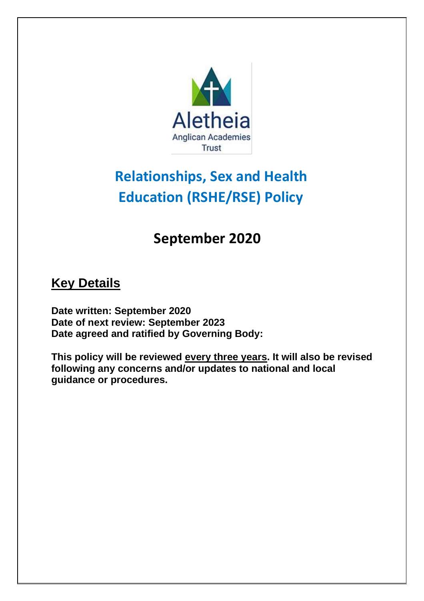

# **Relationships, Sex and Health Education (RSHE/RSE) Policy**

# **September 2020**

## **Key Details**

**Date written: September 2020 Date of next review: September 2023 Date agreed and ratified by Governing Body:** 

**This policy will be reviewed every three years. It will also be revised following any concerns and/or updates to national and local guidance or procedures.**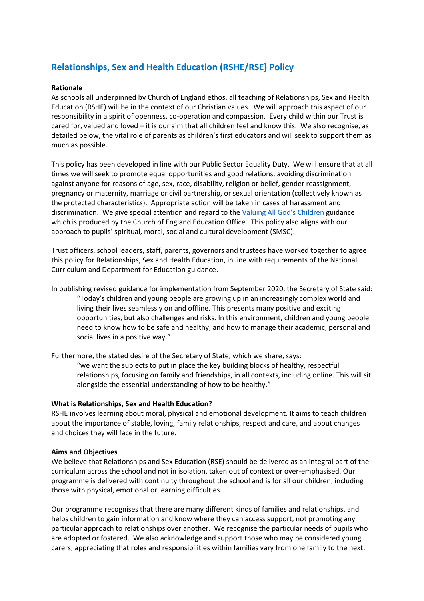### **Relationships, Sex and Health Education (RSHE/RSE) Policy**

#### **Rationale**

As schools all underpinned by Church of England ethos, all teaching of Relationships, Sex and Health Education (RSHE) will be in the context of our Christian values. We will approach this aspect of our responsibility in a spirit of openness, co-operation and compassion. Every child within our Trust is cared for, valued and loved – it is our aim that all children feel and know this. We also recognise, as detailed below, the vital role of parents as children's first educators and will seek to support them as much as possible.

This policy has been developed in line with our Public Sector Equality Duty. We will ensure that at all times we will seek to promote equal opportunities and good relations, avoiding discrimination against anyone for reasons of age, sex, race, disability, religion or belief, gender reassignment, pregnancy or maternity, marriage or civil partnership, or sexual orientation (collectively known as the protected characteristics). Appropriate action will be taken in cases of harassment and discrimination. We give special attention and regard to the [Valuing All God's Children](https://www.churchofengland.org/sites/default/files/2019-07/Valuing%20All%20God%27s%20Children%20July%202019_0.pdf) guidance which is produced by the Church of England Education Office. This policy also aligns with our approach to pupils' spiritual, moral, social and cultural development (SMSC).

Trust officers, school leaders, staff, parents, governors and trustees have worked together to agree this policy for Relationships, Sex and Health Education, in line with requirements of the National Curriculum and Department for Education guidance.

In publishing revised guidance for implementation from September 2020, the Secretary of State said: "Today's children and young people are growing up in an increasingly complex world and living their lives seamlessly on and offline. This presents many positive and exciting opportunities, but also challenges and risks. In this environment, children and young people need to know how to be safe and healthy, and how to manage their academic, personal and social lives in a positive way."

Furthermore, the stated desire of the Secretary of State, which we share, says:

"we want the subjects to put in place the key building blocks of healthy, respectful relationships, focusing on family and friendships, in all contexts, including online. This will sit alongside the essential understanding of how to be healthy."

#### **What is Relationships, Sex and Health Education?**

RSHE involves learning about moral, physical and emotional development. It aims to teach children about the importance of stable, loving, family relationships, respect and care, and about changes and choices they will face in the future.

#### **Aims and Objectives**

We believe that Relationships and Sex Education (RSE) should be delivered as an integral part of the curriculum across the school and not in isolation, taken out of context or over-emphasised. Our programme is delivered with continuity throughout the school and is for all our children, including those with physical, emotional or learning difficulties.

Our programme recognises that there are many different kinds of families and relationships, and helps children to gain information and know where they can access support, not promoting any particular approach to relationships over another. We recognise the particular needs of pupils who are adopted or fostered. We also acknowledge and support those who may be considered young carers, appreciating that roles and responsibilities within families vary from one family to the next.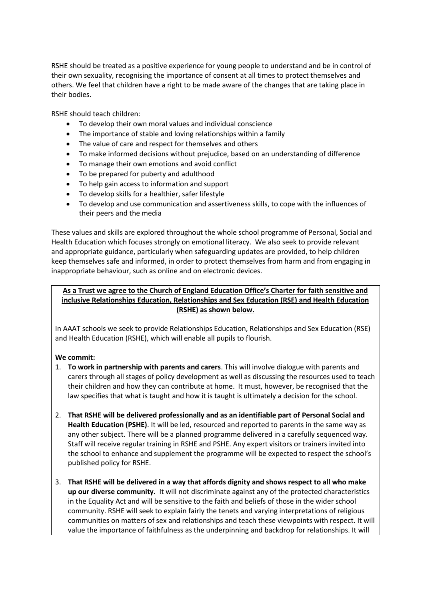RSHE should be treated as a positive experience for young people to understand and be in control of their own sexuality, recognising the importance of consent at all times to protect themselves and others. We feel that children have a right to be made aware of the changes that are taking place in their bodies.

RSHE should teach children:

- To develop their own moral values and individual conscience
- The importance of stable and loving relationships within a family
- The value of care and respect for themselves and others
- To make informed decisions without prejudice, based on an understanding of difference
- To manage their own emotions and avoid conflict
- To be prepared for puberty and adulthood
- To help gain access to information and support
- To develop skills for a healthier, safer lifestyle
- To develop and use communication and assertiveness skills, to cope with the influences of their peers and the media

These values and skills are explored throughout the whole school programme of Personal, Social and Health Education which focuses strongly on emotional literacy. We also seek to provide relevant and appropriate guidance, particularly when safeguarding updates are provided, to help children keep themselves safe and informed, in order to protect themselves from harm and from engaging in inappropriate behaviour, such as online and on electronic devices.

#### **As a Trust we agree to the Church of England Education Office's Charter for faith sensitive and inclusive Relationships Education, Relationships and Sex Education (RSE) and Health Education (RSHE) as shown below.**

In AAAT schools we seek to provide Relationships Education, Relationships and Sex Education (RSE) and Health Education (RSHE), which will enable all pupils to flourish.

#### **We commit:**

- 1. **To work in partnership with parents and carers**. This will involve dialogue with parents and carers through all stages of policy development as well as discussing the resources used to teach their children and how they can contribute at home. It must, however, be recognised that the law specifies that what is taught and how it is taught is ultimately a decision for the school.
- 2. **That RSHE will be delivered professionally and as an identifiable part of Personal Social and Health Education (PSHE)**. It will be led, resourced and reported to parents in the same way as any other subject. There will be a planned programme delivered in a carefully sequenced way. Staff will receive regular training in RSHE and PSHE. Any expert visitors or trainers invited into the school to enhance and supplement the programme will be expected to respect the school's published policy for RSHE.
- 3. **That RSHE will be delivered in a way that affords dignity and shows respect to all who make up our diverse community.** It will not discriminate against any of the protected characteristics in the Equality Act and will be sensitive to the faith and beliefs of those in the wider school community. RSHE will seek to explain fairly the tenets and varying interpretations of religious communities on matters of sex and relationships and teach these viewpoints with respect. It will value the importance of faithfulness as the underpinning and backdrop for relationships. It will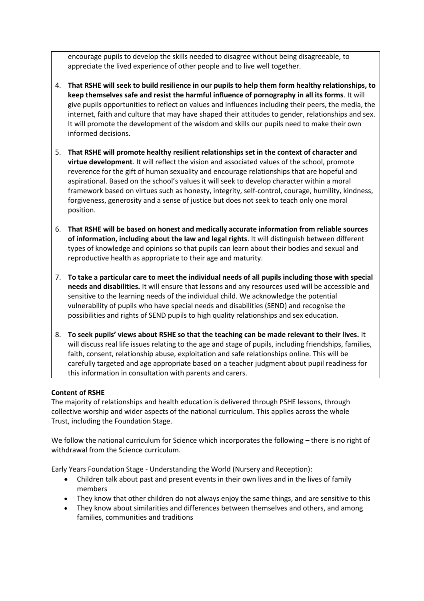encourage pupils to develop the skills needed to disagree without being disagreeable, to appreciate the lived experience of other people and to live well together.

- 4. **That RSHE will seek to build resilience in our pupils to help them form healthy relationships, to keep themselves safe and resist the harmful influence of pornography in all its forms**. It will give pupils opportunities to reflect on values and influences including their peers, the media, the internet, faith and culture that may have shaped their attitudes to gender, relationships and sex. It will promote the development of the wisdom and skills our pupils need to make their own informed decisions.
- 5. **That RSHE will promote healthy resilient relationships set in the context of character and virtue development**. It will reflect the vision and associated values of the school, promote reverence for the gift of human sexuality and encourage relationships that are hopeful and aspirational. Based on the school's values it will seek to develop character within a moral framework based on virtues such as honesty, integrity, self-control, courage, humility, kindness, forgiveness, generosity and a sense of justice but does not seek to teach only one moral position.
- 6. **That RSHE will be based on honest and medically accurate information from reliable sources of information, including about the law and legal rights**. It will distinguish between different types of knowledge and opinions so that pupils can learn about their bodies and sexual and reproductive health as appropriate to their age and maturity.
- 7. **To take a particular care to meet the individual needs of all pupils including those with special needs and disabilities.** It will ensure that lessons and any resources used will be accessible and sensitive to the learning needs of the individual child. We acknowledge the potential vulnerability of pupils who have special needs and disabilities (SEND) and recognise the possibilities and rights of SEND pupils to high quality relationships and sex education.
- 8. **To seek pupils' views about RSHE so that the teaching can be made relevant to their lives.** It will discuss real life issues relating to the age and stage of pupils, including friendships, families, faith, consent, relationship abuse, exploitation and safe relationships online. This will be carefully targeted and age appropriate based on a teacher judgment about pupil readiness for this information in consultation with parents and carers.

#### **Content of RSHE**

The majority of relationships and health education is delivered through PSHE lessons, through collective worship and wider aspects of the national curriculum. This applies across the whole Trust, including the Foundation Stage.

We follow the national curriculum for Science which incorporates the following – there is no right of withdrawal from the Science curriculum.

Early Years Foundation Stage - Understanding the World (Nursery and Reception):

- Children talk about past and present events in their own lives and in the lives of family members
- They know that other children do not always enjoy the same things, and are sensitive to this
- They know about similarities and differences between themselves and others, and among families, communities and traditions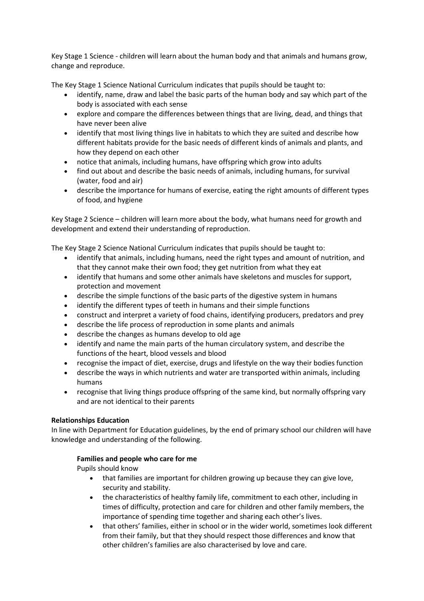Key Stage 1 Science - children will learn about the human body and that animals and humans grow, change and reproduce.

The Key Stage 1 Science National Curriculum indicates that pupils should be taught to:

- identify, name, draw and label the basic parts of the human body and say which part of the body is associated with each sense
- explore and compare the differences between things that are living, dead, and things that have never been alive
- identify that most living things live in habitats to which they are suited and describe how different habitats provide for the basic needs of different kinds of animals and plants, and how they depend on each other
- notice that animals, including humans, have offspring which grow into adults
- find out about and describe the basic needs of animals, including humans, for survival (water, food and air)
- describe the importance for humans of exercise, eating the right amounts of different types of food, and hygiene

Key Stage 2 Science – children will learn more about the body, what humans need for growth and development and extend their understanding of reproduction.

The Key Stage 2 Science National Curriculum indicates that pupils should be taught to:

- identify that animals, including humans, need the right types and amount of nutrition, and that they cannot make their own food; they get nutrition from what they eat
- identify that humans and some other animals have skeletons and muscles for support, protection and movement
- describe the simple functions of the basic parts of the digestive system in humans
- identify the different types of teeth in humans and their simple functions
- construct and interpret a variety of food chains, identifying producers, predators and prey
- describe the life process of reproduction in some plants and animals
- describe the changes as humans develop to old age
- identify and name the main parts of the human circulatory system, and describe the functions of the heart, blood vessels and blood
- recognise the impact of diet, exercise, drugs and lifestyle on the way their bodies function
- describe the ways in which nutrients and water are transported within animals, including humans
- recognise that living things produce offspring of the same kind, but normally offspring vary and are not identical to their parents

#### **Relationships Education**

In line with Department for Education guidelines, by the end of primary school our children will have knowledge and understanding of the following.

#### **Families and people who care for me**

Pupils should know

- that families are important for children growing up because they can give love, security and stability.
- the characteristics of healthy family life, commitment to each other, including in times of difficulty, protection and care for children and other family members, the importance of spending time together and sharing each other's lives.
- that others' families, either in school or in the wider world, sometimes look different from their family, but that they should respect those differences and know that other children's families are also characterised by love and care.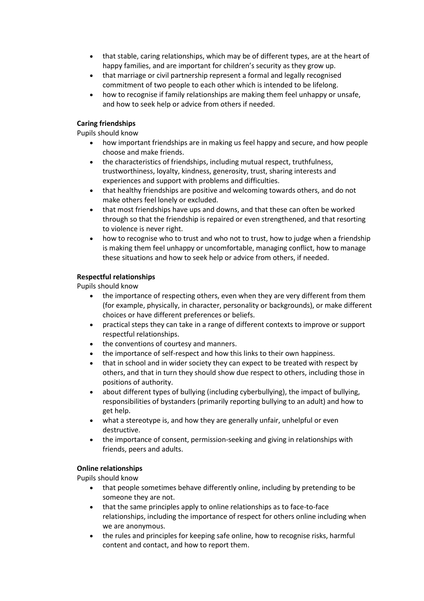- that stable, caring relationships, which may be of different types, are at the heart of happy families, and are important for children's security as they grow up.
- that marriage or civil partnership represent a formal and legally recognised commitment of two people to each other which is intended to be lifelong.
- how to recognise if family relationships are making them feel unhappy or unsafe, and how to seek help or advice from others if needed.

#### **Caring friendships**

Pupils should know

- how important friendships are in making us feel happy and secure, and how people choose and make friends.
- the characteristics of friendships, including mutual respect, truthfulness, trustworthiness, loyalty, kindness, generosity, trust, sharing interests and experiences and support with problems and difficulties.
- that healthy friendships are positive and welcoming towards others, and do not make others feel lonely or excluded.
- that most friendships have ups and downs, and that these can often be worked through so that the friendship is repaired or even strengthened, and that resorting to violence is never right.
- how to recognise who to trust and who not to trust, how to judge when a friendship is making them feel unhappy or uncomfortable, managing conflict, how to manage these situations and how to seek help or advice from others, if needed.

#### **Respectful relationships**

Pupils should know

- the importance of respecting others, even when they are very different from them (for example, physically, in character, personality or backgrounds), or make different choices or have different preferences or beliefs.
- practical steps they can take in a range of different contexts to improve or support respectful relationships.
- the conventions of courtesy and manners.
- the importance of self-respect and how this links to their own happiness.
- that in school and in wider society they can expect to be treated with respect by others, and that in turn they should show due respect to others, including those in positions of authority.
- about different types of bullying (including cyberbullying), the impact of bullying, responsibilities of bystanders (primarily reporting bullying to an adult) and how to get help.
- what a stereotype is, and how they are generally unfair, unhelpful or even destructive.
- the importance of consent, permission-seeking and giving in relationships with friends, peers and adults.

#### **Online relationships**

Pupils should know

- that people sometimes behave differently online, including by pretending to be someone they are not.
- that the same principles apply to online relationships as to face-to-face relationships, including the importance of respect for others online including when we are anonymous.
- the rules and principles for keeping safe online, how to recognise risks, harmful content and contact, and how to report them.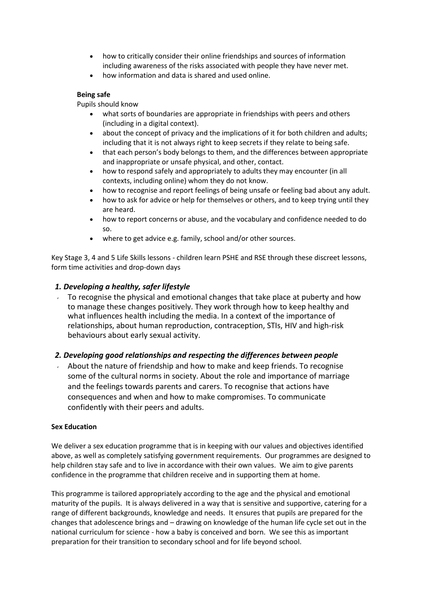- how to critically consider their online friendships and sources of information including awareness of the risks associated with people they have never met.
- how information and data is shared and used online.

#### **Being safe**

Pupils should know

- what sorts of boundaries are appropriate in friendships with peers and others (including in a digital context).
- about the concept of privacy and the implications of it for both children and adults; including that it is not always right to keep secrets if they relate to being safe.
- that each person's body belongs to them, and the differences between appropriate and inappropriate or unsafe physical, and other, contact.
- how to respond safely and appropriately to adults they may encounter (in all contexts, including online) whom they do not know.
- how to recognise and report feelings of being unsafe or feeling bad about any adult.
- how to ask for advice or help for themselves or others, and to keep trying until they are heard.
- how to report concerns or abuse, and the vocabulary and confidence needed to do so.
- where to get advice e.g. family, school and/or other sources.

Key Stage 3, 4 and 5 Life Skills lessons - children learn PSHE and RSE through these discreet lessons, form time activities and drop-down days

#### *1. Developing a healthy, safer lifestyle*

To recognise the physical and emotional changes that take place at puberty and how to manage these changes positively. They work through how to keep healthy and what influences health including the media. In a context of the importance of relationships, about human reproduction, contraception, STIs, HIV and high-risk behaviours about early sexual activity.

#### *2. Developing good relationships and respecting the differences between people*

About the nature of friendship and how to make and keep friends. To recognise some of the cultural norms in society. About the role and importance of marriage and the feelings towards parents and carers. To recognise that actions have consequences and when and how to make compromises. To communicate confidently with their peers and adults.

#### **Sex Education**

We deliver a sex education programme that is in keeping with our values and objectives identified above, as well as completely satisfying government requirements. Our programmes are designed to help children stay safe and to live in accordance with their own values. We aim to give parents confidence in the programme that children receive and in supporting them at home.

This programme is tailored appropriately according to the age and the physical and emotional maturity of the pupils. It is always delivered in a way that is sensitive and supportive, catering for a range of different backgrounds, knowledge and needs. It ensures that pupils are prepared for the changes that adolescence brings and – drawing on knowledge of the human life cycle set out in the national curriculum for science - how a baby is conceived and born. We see this as important preparation for their transition to secondary school and for life beyond school.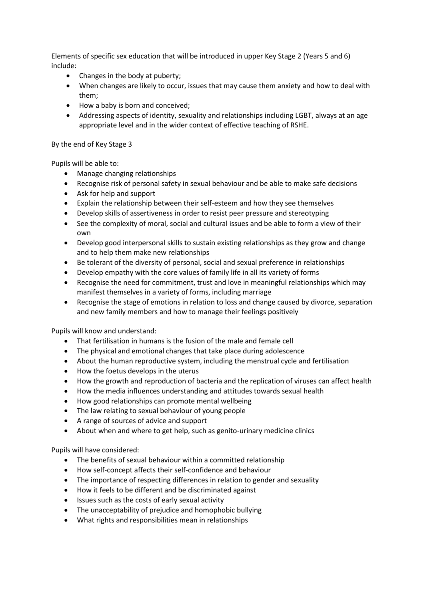Elements of specific sex education that will be introduced in upper Key Stage 2 (Years 5 and 6) include:

- Changes in the body at puberty;
- When changes are likely to occur, issues that may cause them anxiety and how to deal with them;
- How a baby is born and conceived;
- Addressing aspects of identity, sexuality and relationships including LGBT, always at an age appropriate level and in the wider context of effective teaching of RSHE.

By the end of Key Stage 3

Pupils will be able to:

- Manage changing relationships
- Recognise risk of personal safety in sexual behaviour and be able to make safe decisions
- Ask for help and support
- Explain the relationship between their self-esteem and how they see themselves
- Develop skills of assertiveness in order to resist peer pressure and stereotyping
- See the complexity of moral, social and cultural issues and be able to form a view of their own
- Develop good interpersonal skills to sustain existing relationships as they grow and change and to help them make new relationships
- Be tolerant of the diversity of personal, social and sexual preference in relationships
- Develop empathy with the core values of family life in all its variety of forms
- Recognise the need for commitment, trust and love in meaningful relationships which may manifest themselves in a variety of forms, including marriage
- Recognise the stage of emotions in relation to loss and change caused by divorce, separation and new family members and how to manage their feelings positively

Pupils will know and understand:

- That fertilisation in humans is the fusion of the male and female cell
- The physical and emotional changes that take place during adolescence
- About the human reproductive system, including the menstrual cycle and fertilisation
- How the foetus develops in the uterus
- How the growth and reproduction of bacteria and the replication of viruses can affect health
- How the media influences understanding and attitudes towards sexual health
- How good relationships can promote mental wellbeing
- The law relating to sexual behaviour of young people
- A range of sources of advice and support
- About when and where to get help, such as genito-urinary medicine clinics

Pupils will have considered:

- The benefits of sexual behaviour within a committed relationship
- How self-concept affects their self-confidence and behaviour
- The importance of respecting differences in relation to gender and sexuality
- How it feels to be different and be discriminated against
- Issues such as the costs of early sexual activity
- The unacceptability of prejudice and homophobic bullying
- What rights and responsibilities mean in relationships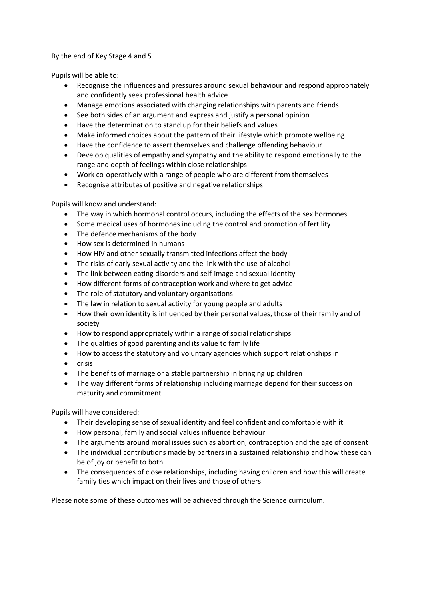By the end of Key Stage 4 and 5

Pupils will be able to:

- Recognise the influences and pressures around sexual behaviour and respond appropriately and confidently seek professional health advice
- Manage emotions associated with changing relationships with parents and friends
- See both sides of an argument and express and justify a personal opinion
- Have the determination to stand up for their beliefs and values
- Make informed choices about the pattern of their lifestyle which promote wellbeing
- Have the confidence to assert themselves and challenge offending behaviour
- Develop qualities of empathy and sympathy and the ability to respond emotionally to the range and depth of feelings within close relationships
- Work co-operatively with a range of people who are different from themselves
- Recognise attributes of positive and negative relationships

Pupils will know and understand:

- The way in which hormonal control occurs, including the effects of the sex hormones
- Some medical uses of hormones including the control and promotion of fertility
- The defence mechanisms of the body
- How sex is determined in humans
- How HIV and other sexually transmitted infections affect the body
- The risks of early sexual activity and the link with the use of alcohol
- The link between eating disorders and self-image and sexual identity
- How different forms of contraception work and where to get advice
- The role of statutory and voluntary organisations
- The law in relation to sexual activity for young people and adults
- How their own identity is influenced by their personal values, those of their family and of society
- How to respond appropriately within a range of social relationships
- The qualities of good parenting and its value to family life
- How to access the statutory and voluntary agencies which support relationships in
- crisis
- The benefits of marriage or a stable partnership in bringing up children
- The way different forms of relationship including marriage depend for their success on maturity and commitment

Pupils will have considered:

- Their developing sense of sexual identity and feel confident and comfortable with it
- How personal, family and social values influence behaviour
- The arguments around moral issues such as abortion, contraception and the age of consent
- The individual contributions made by partners in a sustained relationship and how these can be of joy or benefit to both
- The consequences of close relationships, including having children and how this will create family ties which impact on their lives and those of others.

Please note some of these outcomes will be achieved through the Science curriculum.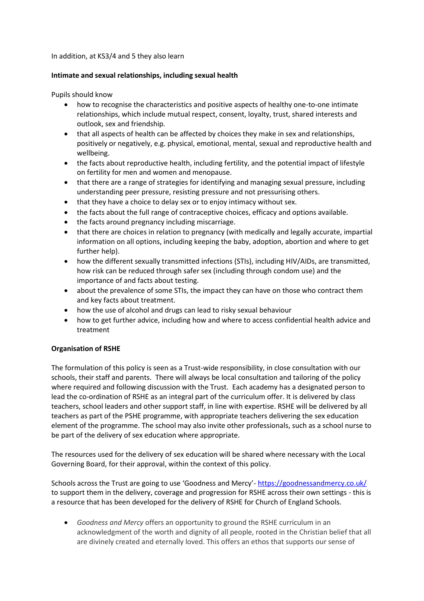In addition, at KS3/4 and 5 they also learn

#### **Intimate and sexual relationships, including sexual health**

Pupils should know

- how to recognise the characteristics and positive aspects of healthy one-to-one intimate relationships, which include mutual respect, consent, loyalty, trust, shared interests and outlook, sex and friendship.
- that all aspects of health can be affected by choices they make in sex and relationships, positively or negatively, e.g. physical, emotional, mental, sexual and reproductive health and wellbeing.
- the facts about reproductive health, including fertility, and the potential impact of lifestyle on fertility for men and women and menopause.
- that there are a range of strategies for identifying and managing sexual pressure, including understanding peer pressure, resisting pressure and not pressurising others.
- that they have a choice to delay sex or to enjoy intimacy without sex.
- the facts about the full range of contraceptive choices, efficacy and options available.
- the facts around pregnancy including miscarriage.
- that there are choices in relation to pregnancy (with medically and legally accurate, impartial information on all options, including keeping the baby, adoption, abortion and where to get further help).
- how the different sexually transmitted infections (STIs), including HIV/AIDs, are transmitted, how risk can be reduced through safer sex (including through condom use) and the importance of and facts about testing.
- about the prevalence of some STIs, the impact they can have on those who contract them and key facts about treatment.
- how the use of alcohol and drugs can lead to risky sexual behaviour
- how to get further advice, including how and where to access confidential health advice and treatment

#### **Organisation of RSHE**

The formulation of this policy is seen as a Trust-wide responsibility, in close consultation with our schools, their staff and parents. There will always be local consultation and tailoring of the policy where required and following discussion with the Trust. Each academy has a designated person to lead the co-ordination of RSHE as an integral part of the curriculum offer. It is delivered by class teachers, school leaders and other support staff, in line with expertise. RSHE will be delivered by all teachers as part of the PSHE programme, with appropriate teachers delivering the sex education element of the programme. The school may also invite other professionals, such as a school nurse to be part of the delivery of sex education where appropriate.

The resources used for the delivery of sex education will be shared where necessary with the Local Governing Board, for their approval, within the context of this policy.

Schools across the Trust are going to use 'Goodness and Mercy'- <https://goodnessandmercy.co.uk/> to support them in the delivery, coverage and progression for RSHE across their own settings - this is a resource that has been developed for the delivery of RSHE for Church of England Schools.

• *Goodness and Mercy* offers an opportunity to ground the RSHE curriculum in an acknowledgment of the worth and dignity of all people, rooted in the Christian belief that all are divinely created and eternally loved. This offers an ethos that supports our sense of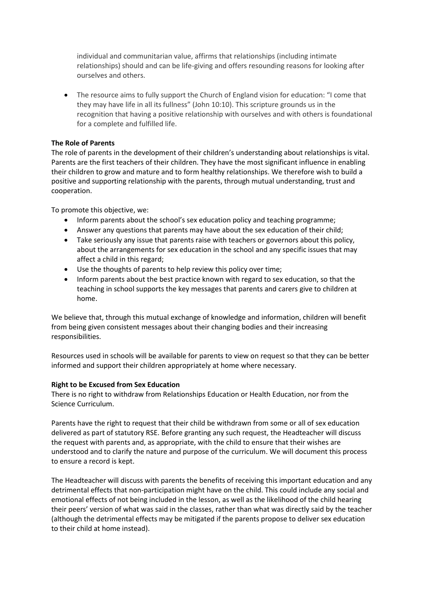individual and communitarian value, affirms that relationships (including intimate relationships) should and can be life-giving and offers resounding reasons for looking after ourselves and others.

• The resource aims to fully support the Church of England vision for education: "I come that they may have life in all its fullness" (John 10:10). This scripture grounds us in the recognition that having a positive relationship with ourselves and with others is foundational for a complete and fulfilled life.

#### **The Role of Parents**

The role of parents in the development of their children's understanding about relationships is vital. Parents are the first teachers of their children. They have the most significant influence in enabling their children to grow and mature and to form healthy relationships. We therefore wish to build a positive and supporting relationship with the parents, through mutual understanding, trust and cooperation.

To promote this objective, we:

- Inform parents about the school's sex education policy and teaching programme;
- Answer any questions that parents may have about the sex education of their child;
- Take seriously any issue that parents raise with teachers or governors about this policy, about the arrangements for sex education in the school and any specific issues that may affect a child in this regard;
- Use the thoughts of parents to help review this policy over time;
- Inform parents about the best practice known with regard to sex education, so that the teaching in school supports the key messages that parents and carers give to children at home.

We believe that, through this mutual exchange of knowledge and information, children will benefit from being given consistent messages about their changing bodies and their increasing responsibilities.

Resources used in schools will be available for parents to view on request so that they can be better informed and support their children appropriately at home where necessary.

#### **Right to be Excused from Sex Education**

There is no right to withdraw from Relationships Education or Health Education, nor from the Science Curriculum.

Parents have the right to request that their child be withdrawn from some or all of sex education delivered as part of statutory RSE. Before granting any such request, the Headteacher will discuss the request with parents and, as appropriate, with the child to ensure that their wishes are understood and to clarify the nature and purpose of the curriculum. We will document this process to ensure a record is kept.

The Headteacher will discuss with parents the benefits of receiving this important education and any detrimental effects that non-participation might have on the child. This could include any social and emotional effects of not being included in the lesson, as well as the likelihood of the child hearing their peers' version of what was said in the classes, rather than what was directly said by the teacher (although the detrimental effects may be mitigated if the parents propose to deliver sex education to their child at home instead).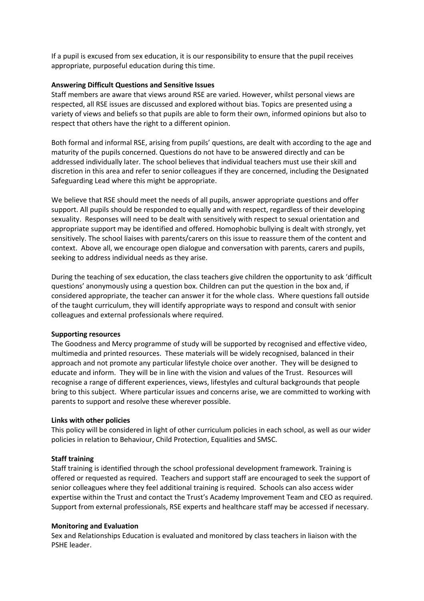If a pupil is excused from sex education, it is our responsibility to ensure that the pupil receives appropriate, purposeful education during this time.

#### **Answering Difficult Questions and Sensitive Issues**

Staff members are aware that views around RSE are varied. However, whilst personal views are respected, all RSE issues are discussed and explored without bias. Topics are presented using a variety of views and beliefs so that pupils are able to form their own, informed opinions but also to respect that others have the right to a different opinion.

Both formal and informal RSE, arising from pupils' questions, are dealt with according to the age and maturity of the pupils concerned. Questions do not have to be answered directly and can be addressed individually later. The school believes that individual teachers must use their skill and discretion in this area and refer to senior colleagues if they are concerned, including the Designated Safeguarding Lead where this might be appropriate.

We believe that RSE should meet the needs of all pupils, answer appropriate questions and offer support. All pupils should be responded to equally and with respect, regardless of their developing sexuality. Responses will need to be dealt with sensitively with respect to sexual orientation and appropriate support may be identified and offered. Homophobic bullying is dealt with strongly, yet sensitively. The school liaises with parents/carers on this issue to reassure them of the content and context. Above all, we encourage open dialogue and conversation with parents, carers and pupils, seeking to address individual needs as they arise.

During the teaching of sex education, the class teachers give children the opportunity to ask 'difficult questions' anonymously using a question box. Children can put the question in the box and, if considered appropriate, the teacher can answer it for the whole class. Where questions fall outside of the taught curriculum, they will identify appropriate ways to respond and consult with senior colleagues and external professionals where required.

#### **Supporting resources**

The Goodness and Mercy programme of study will be supported by recognised and effective video, multimedia and printed resources. These materials will be widely recognised, balanced in their approach and not promote any particular lifestyle choice over another. They will be designed to educate and inform. They will be in line with the vision and values of the Trust. Resources will recognise a range of different experiences, views, lifestyles and cultural backgrounds that people bring to this subject. Where particular issues and concerns arise, we are committed to working with parents to support and resolve these wherever possible.

#### **Links with other policies**

This policy will be considered in light of other curriculum policies in each school, as well as our wider policies in relation to Behaviour, Child Protection, Equalities and SMSC.

#### **Staff training**

Staff training is identified through the school professional development framework. Training is offered or requested as required. Teachers and support staff are encouraged to seek the support of senior colleagues where they feel additional training is required. Schools can also access wider expertise within the Trust and contact the Trust's Academy Improvement Team and CEO as required. Support from external professionals, RSE experts and healthcare staff may be accessed if necessary.

#### **Monitoring and Evaluation**

Sex and Relationships Education is evaluated and monitored by class teachers in liaison with the PSHE leader.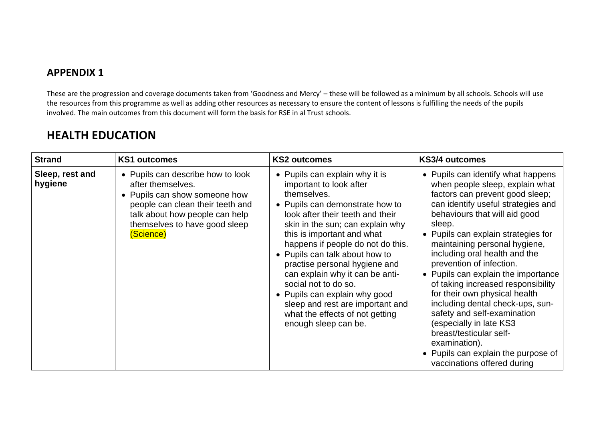### **APPENDIX 1**

These are the progression and coverage documents taken from 'Goodness and Mercy' – these will be followed as a minimum by all schools. Schools will use the resources from this programme as well as adding other resources as necessary to ensure the content of lessons is fulfilling the needs of the pupils involved. The main outcomes from this document will form the basis for RSE in al Trust schools.

| <b>Strand</b>              | <b>KS1 outcomes</b>                                                                                                                                                                                         | <b>KS2 outcomes</b>                                                                                                                                                                                                                                                                                                                                                                                                                                                                                                  | KS3/4 outcomes                                                                                                                                                                                                                                                                                                                                                                                                                                                                                                                                                                                                                                               |
|----------------------------|-------------------------------------------------------------------------------------------------------------------------------------------------------------------------------------------------------------|----------------------------------------------------------------------------------------------------------------------------------------------------------------------------------------------------------------------------------------------------------------------------------------------------------------------------------------------------------------------------------------------------------------------------------------------------------------------------------------------------------------------|--------------------------------------------------------------------------------------------------------------------------------------------------------------------------------------------------------------------------------------------------------------------------------------------------------------------------------------------------------------------------------------------------------------------------------------------------------------------------------------------------------------------------------------------------------------------------------------------------------------------------------------------------------------|
| Sleep, rest and<br>hygiene | • Pupils can describe how to look<br>after themselves.<br>• Pupils can show someone how<br>people can clean their teeth and<br>talk about how people can help<br>themselves to have good sleep<br>(Science) | • Pupils can explain why it is<br>important to look after<br>themselves.<br>• Pupils can demonstrate how to<br>look after their teeth and their<br>skin in the sun; can explain why<br>this is important and what<br>happens if people do not do this.<br>• Pupils can talk about how to<br>practise personal hygiene and<br>can explain why it can be anti-<br>social not to do so.<br>• Pupils can explain why good<br>sleep and rest are important and<br>what the effects of not getting<br>enough sleep can be. | • Pupils can identify what happens<br>when people sleep, explain what<br>factors can prevent good sleep;<br>can identify useful strategies and<br>behaviours that will aid good<br>sleep.<br>• Pupils can explain strategies for<br>maintaining personal hygiene,<br>including oral health and the<br>prevention of infection.<br>• Pupils can explain the importance<br>of taking increased responsibility<br>for their own physical health<br>including dental check-ups, sun-<br>safety and self-examination<br>(especially in late KS3<br>breast/testicular self-<br>examination).<br>• Pupils can explain the purpose of<br>vaccinations offered during |

## **HEALTH EDUCATION**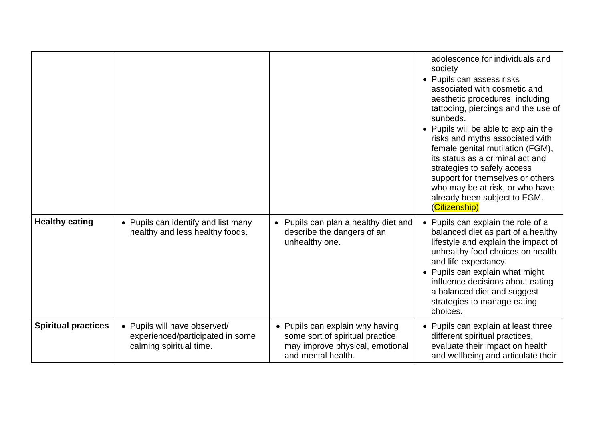|                            |                                                                                             |                                                                                                                             | adolescence for individuals and<br>society<br>• Pupils can assess risks<br>associated with cosmetic and<br>aesthetic procedures, including<br>tattooing, piercings and the use of<br>sunbeds.<br>• Pupils will be able to explain the<br>risks and myths associated with<br>female genital mutilation (FGM),<br>its status as a criminal act and<br>strategies to safely access<br>support for themselves or others<br>who may be at risk, or who have<br>already been subject to FGM.<br>(Citizenship) |
|----------------------------|---------------------------------------------------------------------------------------------|-----------------------------------------------------------------------------------------------------------------------------|---------------------------------------------------------------------------------------------------------------------------------------------------------------------------------------------------------------------------------------------------------------------------------------------------------------------------------------------------------------------------------------------------------------------------------------------------------------------------------------------------------|
| <b>Healthy eating</b>      | • Pupils can identify and list many<br>healthy and less healthy foods.                      | Pupils can plan a healthy diet and<br>$\bullet$<br>describe the dangers of an<br>unhealthy one.                             | • Pupils can explain the role of a<br>balanced diet as part of a healthy<br>lifestyle and explain the impact of<br>unhealthy food choices on health<br>and life expectancy.<br>• Pupils can explain what might<br>influence decisions about eating<br>a balanced diet and suggest<br>strategies to manage eating<br>choices.                                                                                                                                                                            |
| <b>Spiritual practices</b> | • Pupils will have observed/<br>experienced/participated in some<br>calming spiritual time. | • Pupils can explain why having<br>some sort of spiritual practice<br>may improve physical, emotional<br>and mental health. | • Pupils can explain at least three<br>different spiritual practices,<br>evaluate their impact on health<br>and wellbeing and articulate their                                                                                                                                                                                                                                                                                                                                                          |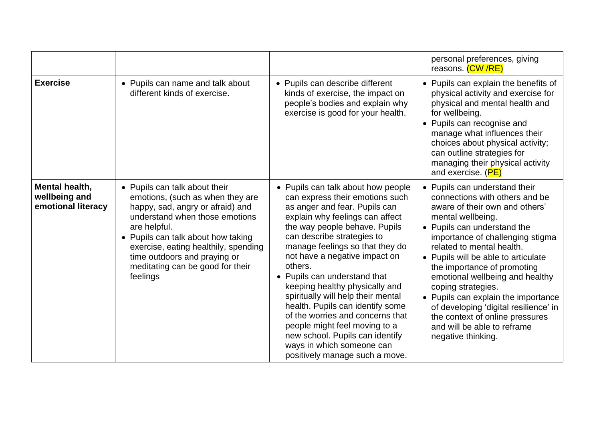|                                                       |                                                                                                                                                                                                                                                                                                                       |                                                                                                                                                                                                                                                                                                                                                                                                                                                                                                                                                                                                            | personal preferences, giving<br>reasons. (CW/RE)                                                                                                                                                                                                                                                                                                                                                                                                                                                                              |
|-------------------------------------------------------|-----------------------------------------------------------------------------------------------------------------------------------------------------------------------------------------------------------------------------------------------------------------------------------------------------------------------|------------------------------------------------------------------------------------------------------------------------------------------------------------------------------------------------------------------------------------------------------------------------------------------------------------------------------------------------------------------------------------------------------------------------------------------------------------------------------------------------------------------------------------------------------------------------------------------------------------|-------------------------------------------------------------------------------------------------------------------------------------------------------------------------------------------------------------------------------------------------------------------------------------------------------------------------------------------------------------------------------------------------------------------------------------------------------------------------------------------------------------------------------|
| <b>Exercise</b>                                       | • Pupils can name and talk about<br>different kinds of exercise.                                                                                                                                                                                                                                                      | • Pupils can describe different<br>kinds of exercise, the impact on<br>people's bodies and explain why<br>exercise is good for your health.                                                                                                                                                                                                                                                                                                                                                                                                                                                                | • Pupils can explain the benefits of<br>physical activity and exercise for<br>physical and mental health and<br>for wellbeing.<br>• Pupils can recognise and<br>manage what influences their<br>choices about physical activity;<br>can outline strategies for<br>managing their physical activity<br>and exercise. (PE)                                                                                                                                                                                                      |
| Mental health,<br>wellbeing and<br>emotional literacy | • Pupils can talk about their<br>emotions, (such as when they are<br>happy, sad, angry or afraid) and<br>understand when those emotions<br>are helpful.<br>• Pupils can talk about how taking<br>exercise, eating healthily, spending<br>time outdoors and praying or<br>meditating can be good for their<br>feelings | • Pupils can talk about how people<br>can express their emotions such<br>as anger and fear. Pupils can<br>explain why feelings can affect<br>the way people behave. Pupils<br>can describe strategies to<br>manage feelings so that they do<br>not have a negative impact on<br>others.<br>• Pupils can understand that<br>keeping healthy physically and<br>spiritually will help their mental<br>health. Pupils can identify some<br>of the worries and concerns that<br>people might feel moving to a<br>new school. Pupils can identify<br>ways in which someone can<br>positively manage such a move. | • Pupils can understand their<br>connections with others and be<br>aware of their own and others'<br>mental wellbeing.<br>• Pupils can understand the<br>importance of challenging stigma<br>related to mental health.<br>• Pupils will be able to articulate<br>the importance of promoting<br>emotional wellbeing and healthy<br>coping strategies.<br>• Pupils can explain the importance<br>of developing 'digital resilience' in<br>the context of online pressures<br>and will be able to reframe<br>negative thinking. |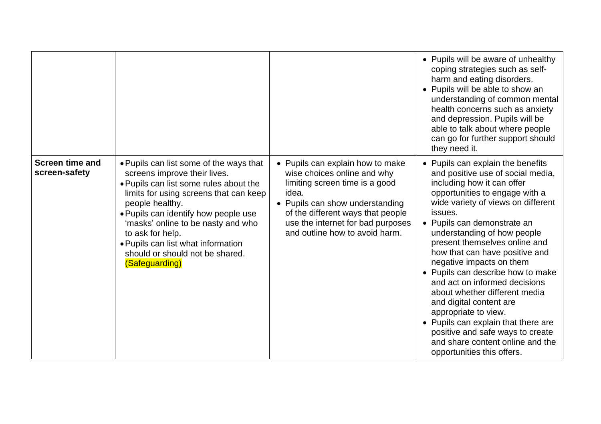|                                         |                                                                                                                                                                                                                                                                                                                                                                             |                                                                                                                                                                                                                                                           | • Pupils will be aware of unhealthy<br>coping strategies such as self-<br>harm and eating disorders.<br>• Pupils will be able to show an<br>understanding of common mental<br>health concerns such as anxiety<br>and depression. Pupils will be<br>able to talk about where people<br>can go for further support should<br>they need it.                                                                                                                                                                                                                                                                                                                    |
|-----------------------------------------|-----------------------------------------------------------------------------------------------------------------------------------------------------------------------------------------------------------------------------------------------------------------------------------------------------------------------------------------------------------------------------|-----------------------------------------------------------------------------------------------------------------------------------------------------------------------------------------------------------------------------------------------------------|-------------------------------------------------------------------------------------------------------------------------------------------------------------------------------------------------------------------------------------------------------------------------------------------------------------------------------------------------------------------------------------------------------------------------------------------------------------------------------------------------------------------------------------------------------------------------------------------------------------------------------------------------------------|
| <b>Screen time and</b><br>screen-safety | • Pupils can list some of the ways that<br>screens improve their lives.<br>. Pupils can list some rules about the<br>limits for using screens that can keep<br>people healthy.<br>. Pupils can identify how people use<br>'masks' online to be nasty and who<br>to ask for help.<br>. Pupils can list what information<br>should or should not be shared.<br>(Safeguarding) | • Pupils can explain how to make<br>wise choices online and why<br>limiting screen time is a good<br>idea.<br>• Pupils can show understanding<br>of the different ways that people<br>use the internet for bad purposes<br>and outline how to avoid harm. | • Pupils can explain the benefits<br>and positive use of social media,<br>including how it can offer<br>opportunities to engage with a<br>wide variety of views on different<br>issues.<br>• Pupils can demonstrate an<br>understanding of how people<br>present themselves online and<br>how that can have positive and<br>negative impacts on them<br>• Pupils can describe how to make<br>and act on informed decisions<br>about whether different media<br>and digital content are<br>appropriate to view.<br>• Pupils can explain that there are<br>positive and safe ways to create<br>and share content online and the<br>opportunities this offers. |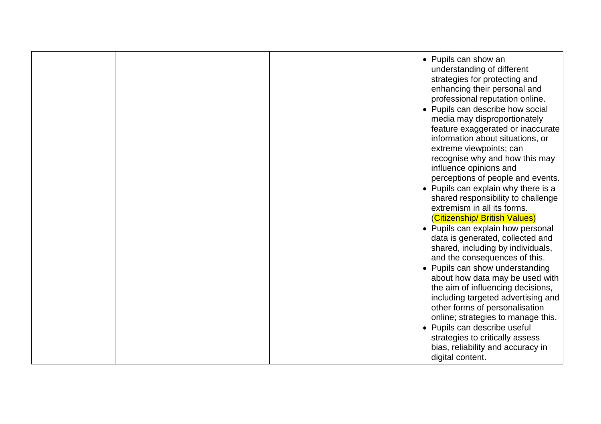|  | • Pupils can show an<br>understanding of different<br>strategies for protecting and<br>enhancing their personal and<br>professional reputation online.<br>• Pupils can describe how social<br>media may disproportionately<br>feature exaggerated or inaccurate<br>information about situations, or<br>extreme viewpoints; can<br>recognise why and how this may<br>influence opinions and<br>perceptions of people and events.<br>• Pupils can explain why there is a<br>shared responsibility to challenge<br>extremism in all its forms.<br>(Citizenship/ British Values)<br>• Pupils can explain how personal<br>data is generated, collected and<br>shared, including by individuals,<br>and the consequences of this.<br>• Pupils can show understanding<br>about how data may be used with<br>the aim of influencing decisions,<br>including targeted advertising and<br>other forms of personalisation |
|--|----------------------------------------------------------------------------------------------------------------------------------------------------------------------------------------------------------------------------------------------------------------------------------------------------------------------------------------------------------------------------------------------------------------------------------------------------------------------------------------------------------------------------------------------------------------------------------------------------------------------------------------------------------------------------------------------------------------------------------------------------------------------------------------------------------------------------------------------------------------------------------------------------------------|
|  | online; strategies to manage this.<br>• Pupils can describe useful<br>strategies to critically assess<br>bias, reliability and accuracy in<br>digital content.                                                                                                                                                                                                                                                                                                                                                                                                                                                                                                                                                                                                                                                                                                                                                 |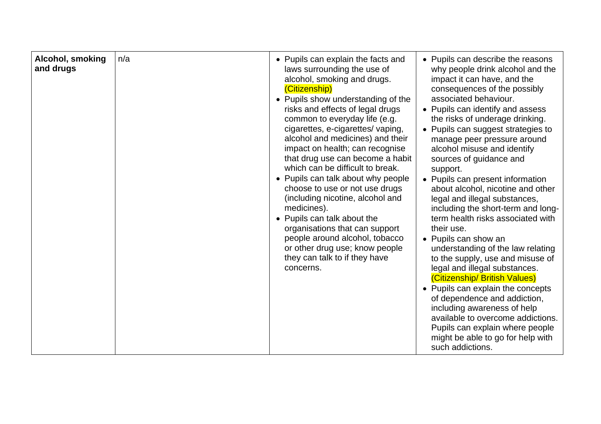| Alcohol, smoking<br>and drugs | n/a | • Pupils can explain the facts and<br>laws surrounding the use of<br>alcohol, smoking and drugs.<br>(Citizenship)<br>• Pupils show understanding of the<br>risks and effects of legal drugs<br>common to everyday life (e.g.<br>cigarettes, e-cigarettes/ vaping,<br>alcohol and medicines) and their<br>impact on health; can recognise<br>that drug use can become a habit<br>which can be difficult to break.<br>• Pupils can talk about why people<br>choose to use or not use drugs<br>(including nicotine, alcohol and<br>medicines).<br>• Pupils can talk about the<br>organisations that can support<br>people around alcohol, tobacco<br>or other drug use; know people<br>they can talk to if they have<br>concerns. | • Pupils can describe the reasons<br>why people drink alcohol and the<br>impact it can have, and the<br>consequences of the possibly<br>associated behaviour.<br>• Pupils can identify and assess<br>the risks of underage drinking.<br>• Pupils can suggest strategies to<br>manage peer pressure around<br>alcohol misuse and identify<br>sources of guidance and<br>support.<br>• Pupils can present information<br>about alcohol, nicotine and other<br>legal and illegal substances,<br>including the short-term and long-<br>term health risks associated with<br>their use.<br>• Pupils can show an<br>understanding of the law relating<br>to the supply, use and misuse of<br>legal and illegal substances.<br>(Citizenship/ British Values)<br>• Pupils can explain the concepts<br>of dependence and addiction,<br>including awareness of help<br>available to overcome addictions.<br>Pupils can explain where people<br>might be able to go for help with<br>such addictions. |
|-------------------------------|-----|--------------------------------------------------------------------------------------------------------------------------------------------------------------------------------------------------------------------------------------------------------------------------------------------------------------------------------------------------------------------------------------------------------------------------------------------------------------------------------------------------------------------------------------------------------------------------------------------------------------------------------------------------------------------------------------------------------------------------------|--------------------------------------------------------------------------------------------------------------------------------------------------------------------------------------------------------------------------------------------------------------------------------------------------------------------------------------------------------------------------------------------------------------------------------------------------------------------------------------------------------------------------------------------------------------------------------------------------------------------------------------------------------------------------------------------------------------------------------------------------------------------------------------------------------------------------------------------------------------------------------------------------------------------------------------------------------------------------------------------|
|-------------------------------|-----|--------------------------------------------------------------------------------------------------------------------------------------------------------------------------------------------------------------------------------------------------------------------------------------------------------------------------------------------------------------------------------------------------------------------------------------------------------------------------------------------------------------------------------------------------------------------------------------------------------------------------------------------------------------------------------------------------------------------------------|--------------------------------------------------------------------------------------------------------------------------------------------------------------------------------------------------------------------------------------------------------------------------------------------------------------------------------------------------------------------------------------------------------------------------------------------------------------------------------------------------------------------------------------------------------------------------------------------------------------------------------------------------------------------------------------------------------------------------------------------------------------------------------------------------------------------------------------------------------------------------------------------------------------------------------------------------------------------------------------------|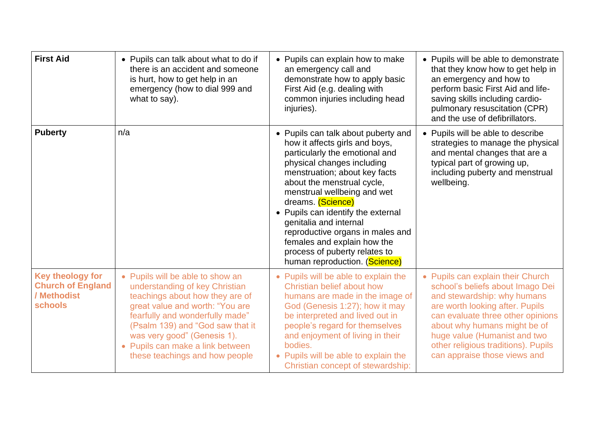| <b>First Aid</b>                                                                     | • Pupils can talk about what to do if<br>there is an accident and someone<br>is hurt, how to get help in an<br>emergency (how to dial 999 and<br>what to say).                                                                                                                                                       | • Pupils can explain how to make<br>an emergency call and<br>demonstrate how to apply basic<br>First Aid (e.g. dealing with<br>common injuries including head<br>injuries).                                                                                                                                                                                                                                                                                   | • Pupils will be able to demonstrate<br>that they know how to get help in<br>an emergency and how to<br>perform basic First Aid and life-<br>saving skills including cardio-<br>pulmonary resuscitation (CPR)<br>and the use of defibrillators.                                                                     |
|--------------------------------------------------------------------------------------|----------------------------------------------------------------------------------------------------------------------------------------------------------------------------------------------------------------------------------------------------------------------------------------------------------------------|---------------------------------------------------------------------------------------------------------------------------------------------------------------------------------------------------------------------------------------------------------------------------------------------------------------------------------------------------------------------------------------------------------------------------------------------------------------|---------------------------------------------------------------------------------------------------------------------------------------------------------------------------------------------------------------------------------------------------------------------------------------------------------------------|
| <b>Puberty</b>                                                                       | n/a                                                                                                                                                                                                                                                                                                                  | • Pupils can talk about puberty and<br>how it affects girls and boys,<br>particularly the emotional and<br>physical changes including<br>menstruation; about key facts<br>about the menstrual cycle,<br>menstrual wellbeing and wet<br>dreams. (Science)<br>• Pupils can identify the external<br>genitalia and internal<br>reproductive organs in males and<br>females and explain how the<br>process of puberty relates to<br>human reproduction. (Science) | • Pupils will be able to describe<br>strategies to manage the physical<br>and mental changes that are a<br>typical part of growing up,<br>including puberty and menstrual<br>wellbeing.                                                                                                                             |
| <b>Key theology for</b><br><b>Church of England</b><br>/ Methodist<br><b>schools</b> | • Pupils will be able to show an<br>understanding of key Christian<br>teachings about how they are of<br>great value and worth: "You are<br>fearfully and wonderfully made"<br>(Psalm 139) and "God saw that it<br>was very good" (Genesis 1).<br>• Pupils can make a link between<br>these teachings and how people | • Pupils will be able to explain the<br>Christian belief about how<br>humans are made in the image of<br>God (Genesis 1:27); how it may<br>be interpreted and lived out in<br>people's regard for themselves<br>and enjoyment of living in their<br>bodies.<br>• Pupils will be able to explain the<br>Christian concept of stewardship:                                                                                                                      | • Pupils can explain their Church<br>school's beliefs about Imago Dei<br>and stewardship: why humans<br>are worth looking after. Pupils<br>can evaluate three other opinions<br>about why humans might be of<br>huge value (Humanist and two<br>other religious traditions). Pupils<br>can appraise those views and |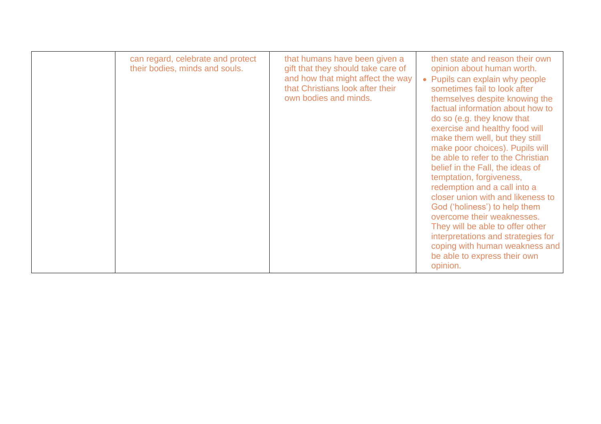| can regard, celebrate and protect<br>their bodies, minds and souls. | that humans have been given a<br>gift that they should take care of<br>and how that might affect the way<br>that Christians look after their<br>own bodies and minds. | then state and reason their own<br>opinion about human worth.<br>• Pupils can explain why people<br>sometimes fail to look after<br>themselves despite knowing the<br>factual information about how to<br>do so (e.g. they know that<br>exercise and healthy food will<br>make them well, but they still<br>make poor choices). Pupils will<br>be able to refer to the Christian<br>belief in the Fall, the ideas of<br>temptation, forgiveness,<br>redemption and a call into a<br>closer union with and likeness to<br>God ('holiness') to help them<br>overcome their weaknesses.<br>They will be able to offer other<br>interpretations and strategies for<br>coping with human weakness and<br>be able to express their own<br>opinion. |
|---------------------------------------------------------------------|-----------------------------------------------------------------------------------------------------------------------------------------------------------------------|----------------------------------------------------------------------------------------------------------------------------------------------------------------------------------------------------------------------------------------------------------------------------------------------------------------------------------------------------------------------------------------------------------------------------------------------------------------------------------------------------------------------------------------------------------------------------------------------------------------------------------------------------------------------------------------------------------------------------------------------|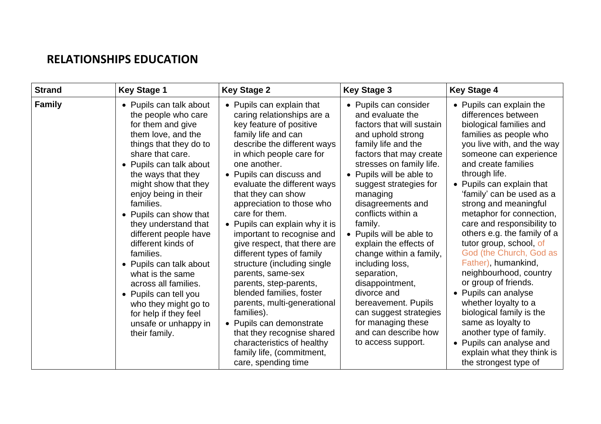## **RELATIONSHIPS EDUCATION**

| <b>Strand</b> | <b>Key Stage 1</b>                                                                                                                                                                                                                                                                                                                                                                                                                                                                                                                                            | <b>Key Stage 2</b>                                                                                                                                                                                                                                                                                                                                                                                                                                                                                                                                                                                                                                                                                                                                   | <b>Key Stage 3</b>                                                                                                                                                                                                                                                                                                                                                                                                                                                                                                                                                          | <b>Key Stage 4</b>                                                                                                                                                                                                                                                                                                                                                                                                                                                                                                                                                                                                                                                                                                              |
|---------------|---------------------------------------------------------------------------------------------------------------------------------------------------------------------------------------------------------------------------------------------------------------------------------------------------------------------------------------------------------------------------------------------------------------------------------------------------------------------------------------------------------------------------------------------------------------|------------------------------------------------------------------------------------------------------------------------------------------------------------------------------------------------------------------------------------------------------------------------------------------------------------------------------------------------------------------------------------------------------------------------------------------------------------------------------------------------------------------------------------------------------------------------------------------------------------------------------------------------------------------------------------------------------------------------------------------------------|-----------------------------------------------------------------------------------------------------------------------------------------------------------------------------------------------------------------------------------------------------------------------------------------------------------------------------------------------------------------------------------------------------------------------------------------------------------------------------------------------------------------------------------------------------------------------------|---------------------------------------------------------------------------------------------------------------------------------------------------------------------------------------------------------------------------------------------------------------------------------------------------------------------------------------------------------------------------------------------------------------------------------------------------------------------------------------------------------------------------------------------------------------------------------------------------------------------------------------------------------------------------------------------------------------------------------|
| <b>Family</b> | • Pupils can talk about<br>the people who care<br>for them and give<br>them love, and the<br>things that they do to<br>share that care.<br>• Pupils can talk about<br>the ways that they<br>might show that they<br>enjoy being in their<br>families.<br>• Pupils can show that<br>they understand that<br>different people have<br>different kinds of<br>families.<br>• Pupils can talk about<br>what is the same<br>across all families.<br>• Pupils can tell you<br>who they might go to<br>for help if they feel<br>unsafe or unhappy in<br>their family. | • Pupils can explain that<br>caring relationships are a<br>key feature of positive<br>family life and can<br>describe the different ways<br>in which people care for<br>one another.<br>• Pupils can discuss and<br>evaluate the different ways<br>that they can show<br>appreciation to those who<br>care for them.<br>• Pupils can explain why it is<br>important to recognise and<br>give respect, that there are<br>different types of family<br>structure (including single<br>parents, same-sex<br>parents, step-parents,<br>blended families, foster<br>parents, multi-generational<br>families).<br>• Pupils can demonstrate<br>that they recognise shared<br>characteristics of healthy<br>family life, (commitment,<br>care, spending time | • Pupils can consider<br>and evaluate the<br>factors that will sustain<br>and uphold strong<br>family life and the<br>factors that may create<br>stresses on family life.<br>• Pupils will be able to<br>suggest strategies for<br>managing<br>disagreements and<br>conflicts within a<br>family.<br>• Pupils will be able to<br>explain the effects of<br>change within a family,<br>including loss,<br>separation,<br>disappointment,<br>divorce and<br>bereavement. Pupils<br>can suggest strategies<br>for managing these<br>and can describe how<br>to access support. | • Pupils can explain the<br>differences between<br>biological families and<br>families as people who<br>you live with, and the way<br>someone can experience<br>and create families<br>through life.<br>• Pupils can explain that<br>'family' can be used as a<br>strong and meaningful<br>metaphor for connection,<br>care and responsibility to<br>others e.g. the family of a<br>tutor group, school, of<br>God (the Church, God as<br>Father), humankind,<br>neighbourhood, country<br>or group of friends.<br>• Pupils can analyse<br>whether loyalty to a<br>biological family is the<br>same as loyalty to<br>another type of family.<br>• Pupils can analyse and<br>explain what they think is<br>the strongest type of |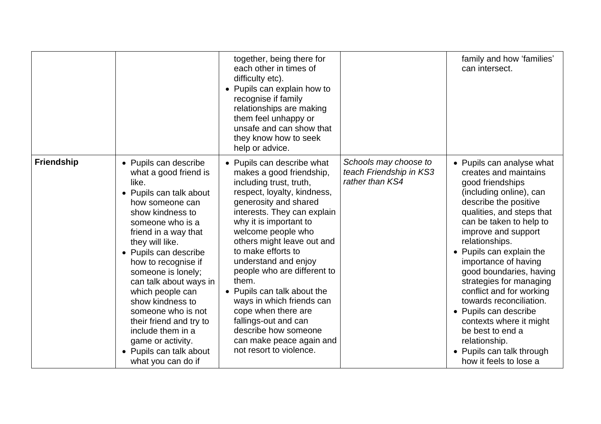|                   |                                                                                                                                                                                                                                                                                                                                                                                                                                                                              | together, being there for<br>each other in times of<br>difficulty etc).<br>• Pupils can explain how to<br>recognise if family<br>relationships are making<br>them feel unhappy or<br>unsafe and can show that<br>they know how to seek<br>help or advice.                                                                                                                                                                                                                                                                              |                                                                     | family and how 'families'<br>can intersect.                                                                                                                                                                                                                                                                                                                                                                                                                                                                                                |
|-------------------|------------------------------------------------------------------------------------------------------------------------------------------------------------------------------------------------------------------------------------------------------------------------------------------------------------------------------------------------------------------------------------------------------------------------------------------------------------------------------|----------------------------------------------------------------------------------------------------------------------------------------------------------------------------------------------------------------------------------------------------------------------------------------------------------------------------------------------------------------------------------------------------------------------------------------------------------------------------------------------------------------------------------------|---------------------------------------------------------------------|--------------------------------------------------------------------------------------------------------------------------------------------------------------------------------------------------------------------------------------------------------------------------------------------------------------------------------------------------------------------------------------------------------------------------------------------------------------------------------------------------------------------------------------------|
| <b>Friendship</b> | • Pupils can describe<br>what a good friend is<br>like.<br>• Pupils can talk about<br>how someone can<br>show kindness to<br>someone who is a<br>friend in a way that<br>they will like.<br>• Pupils can describe<br>how to recognise if<br>someone is lonely;<br>can talk about ways in<br>which people can<br>show kindness to<br>someone who is not<br>their friend and try to<br>include them in a<br>game or activity.<br>• Pupils can talk about<br>what you can do if | • Pupils can describe what<br>makes a good friendship,<br>including trust, truth,<br>respect, loyalty, kindness,<br>generosity and shared<br>interests. They can explain<br>why it is important to<br>welcome people who<br>others might leave out and<br>to make efforts to<br>understand and enjoy<br>people who are different to<br>them.<br>• Pupils can talk about the<br>ways in which friends can<br>cope when there are<br>fallings-out and can<br>describe how someone<br>can make peace again and<br>not resort to violence. | Schools may choose to<br>teach Friendship in KS3<br>rather than KS4 | • Pupils can analyse what<br>creates and maintains<br>good friendships<br>(including online), can<br>describe the positive<br>qualities, and steps that<br>can be taken to help to<br>improve and support<br>relationships.<br>Pupils can explain the<br>importance of having<br>good boundaries, having<br>strategies for managing<br>conflict and for working<br>towards reconciliation.<br>• Pupils can describe<br>contexts where it might<br>be best to end a<br>relationship.<br>• Pupils can talk through<br>how it feels to lose a |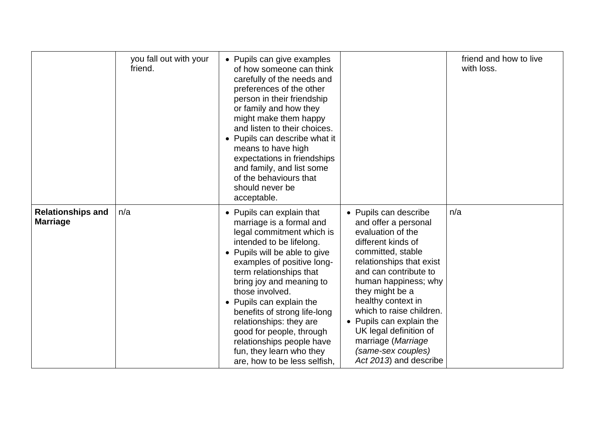|                                             | you fall out with your<br>friend. | • Pupils can give examples<br>of how someone can think<br>carefully of the needs and<br>preferences of the other<br>person in their friendship<br>or family and how they<br>might make them happy<br>and listen to their choices.<br>• Pupils can describe what it<br>means to have high<br>expectations in friendships<br>and family, and list some<br>of the behaviours that<br>should never be<br>acceptable.                                                  |                                                                                                                                                                                                                                                                                                                                                                                             | friend and how to live<br>with loss. |
|---------------------------------------------|-----------------------------------|-------------------------------------------------------------------------------------------------------------------------------------------------------------------------------------------------------------------------------------------------------------------------------------------------------------------------------------------------------------------------------------------------------------------------------------------------------------------|---------------------------------------------------------------------------------------------------------------------------------------------------------------------------------------------------------------------------------------------------------------------------------------------------------------------------------------------------------------------------------------------|--------------------------------------|
| <b>Relationships and</b><br><b>Marriage</b> | n/a                               | • Pupils can explain that<br>marriage is a formal and<br>legal commitment which is<br>intended to be lifelong.<br>Pupils will be able to give<br>examples of positive long-<br>term relationships that<br>bring joy and meaning to<br>those involved.<br>• Pupils can explain the<br>benefits of strong life-long<br>relationships: they are<br>good for people, through<br>relationships people have<br>fun, they learn who they<br>are, how to be less selfish, | • Pupils can describe<br>and offer a personal<br>evaluation of the<br>different kinds of<br>committed, stable<br>relationships that exist<br>and can contribute to<br>human happiness; why<br>they might be a<br>healthy context in<br>which to raise children.<br>• Pupils can explain the<br>UK legal definition of<br>marriage (Marriage<br>(same-sex couples)<br>Act 2013) and describe | n/a                                  |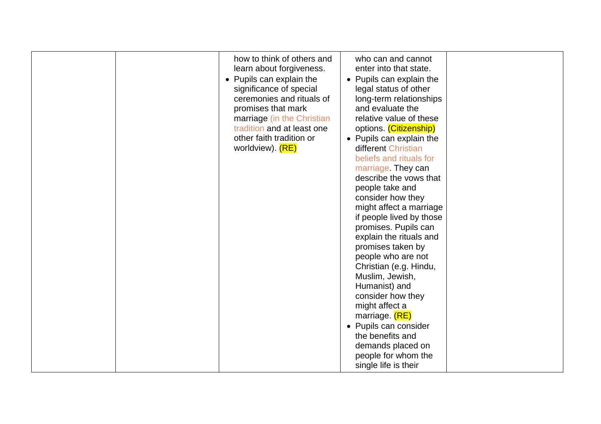|  | how to think of others and<br>learn about forgiveness.<br>• Pupils can explain the<br>significance of special<br>ceremonies and rituals of<br>promises that mark<br>marriage (in the Christian<br>tradition and at least one<br>other faith tradition or<br>worldview). (RE) | who can and cannot<br>enter into that state.<br>• Pupils can explain the<br>legal status of other<br>long-term relationships<br>and evaluate the<br>relative value of these<br>options. (Citizenship)<br>• Pupils can explain the<br>different Christian<br>beliefs and rituals for<br>marriage. They can<br>describe the vows that<br>people take and<br>consider how they<br>might affect a marriage<br>if people lived by those<br>promises. Pupils can<br>explain the rituals and<br>promises taken by<br>people who are not<br>Christian (e.g. Hindu,<br>Muslim, Jewish,<br>Humanist) and<br>consider how they<br>might affect a<br>marriage. (RE)<br>• Pupils can consider<br>the benefits and<br>demands placed on<br>people for whom the |  |
|--|------------------------------------------------------------------------------------------------------------------------------------------------------------------------------------------------------------------------------------------------------------------------------|--------------------------------------------------------------------------------------------------------------------------------------------------------------------------------------------------------------------------------------------------------------------------------------------------------------------------------------------------------------------------------------------------------------------------------------------------------------------------------------------------------------------------------------------------------------------------------------------------------------------------------------------------------------------------------------------------------------------------------------------------|--|
|--|------------------------------------------------------------------------------------------------------------------------------------------------------------------------------------------------------------------------------------------------------------------------------|--------------------------------------------------------------------------------------------------------------------------------------------------------------------------------------------------------------------------------------------------------------------------------------------------------------------------------------------------------------------------------------------------------------------------------------------------------------------------------------------------------------------------------------------------------------------------------------------------------------------------------------------------------------------------------------------------------------------------------------------------|--|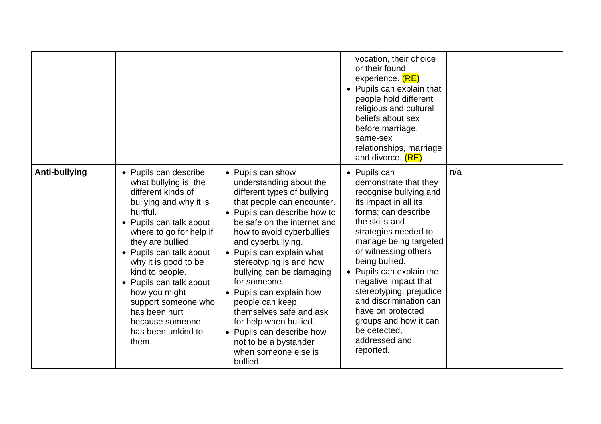|               |                                                                                                                                                                                                                                                                                                                                                                                                   |                                                                                                                                                                                                                                                                                                                                                                                                                                                                                                                               | vocation, their choice<br>or their found<br>experience. (RE)<br>• Pupils can explain that<br>people hold different<br>religious and cultural<br>beliefs about sex<br>before marriage,<br>same-sex<br>relationships, marriage<br>and divorce. (RE)                                                                                                                                                                                 |     |
|---------------|---------------------------------------------------------------------------------------------------------------------------------------------------------------------------------------------------------------------------------------------------------------------------------------------------------------------------------------------------------------------------------------------------|-------------------------------------------------------------------------------------------------------------------------------------------------------------------------------------------------------------------------------------------------------------------------------------------------------------------------------------------------------------------------------------------------------------------------------------------------------------------------------------------------------------------------------|-----------------------------------------------------------------------------------------------------------------------------------------------------------------------------------------------------------------------------------------------------------------------------------------------------------------------------------------------------------------------------------------------------------------------------------|-----|
| Anti-bullying | • Pupils can describe<br>what bullying is, the<br>different kinds of<br>bullying and why it is<br>hurtful.<br>• Pupils can talk about<br>where to go for help if<br>they are bullied.<br>• Pupils can talk about<br>why it is good to be<br>kind to people.<br>• Pupils can talk about<br>how you might<br>support someone who<br>has been hurt<br>because someone<br>has been unkind to<br>them. | • Pupils can show<br>understanding about the<br>different types of bullying<br>that people can encounter.<br>• Pupils can describe how to<br>be safe on the internet and<br>how to avoid cyberbullies<br>and cyberbullying.<br>• Pupils can explain what<br>stereotyping is and how<br>bullying can be damaging<br>for someone.<br>• Pupils can explain how<br>people can keep<br>themselves safe and ask<br>for help when bullied.<br>• Pupils can describe how<br>not to be a bystander<br>when someone else is<br>bullied. | • Pupils can<br>demonstrate that they<br>recognise bullying and<br>its impact in all its<br>forms; can describe<br>the skills and<br>strategies needed to<br>manage being targeted<br>or witnessing others<br>being bullied.<br>• Pupils can explain the<br>negative impact that<br>stereotyping, prejudice<br>and discrimination can<br>have on protected<br>groups and how it can<br>be detected,<br>addressed and<br>reported. | n/a |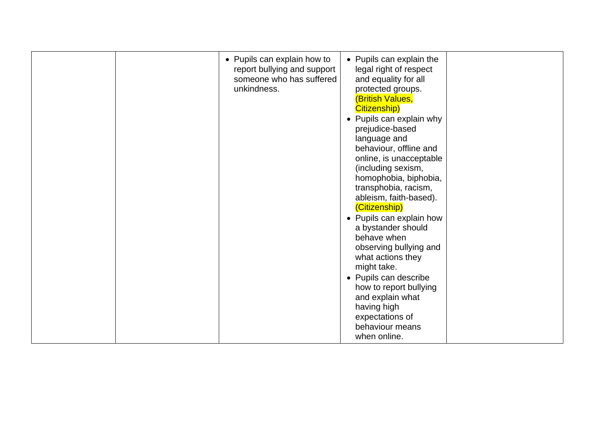| • Pupils can explain how to<br>report bullying and support<br>someone who has suffered<br>unkindness. | • Pupils can explain the<br>legal right of respect<br>and equality for all<br>protected groups.<br><b>(British Values,</b><br>Citizenship)<br>• Pupils can explain why<br>prejudice-based<br>language and<br>behaviour, offline and<br>online, is unacceptable<br>(including sexism,<br>homophobia, biphobia, |  |
|-------------------------------------------------------------------------------------------------------|---------------------------------------------------------------------------------------------------------------------------------------------------------------------------------------------------------------------------------------------------------------------------------------------------------------|--|
|                                                                                                       | (Citizenship)<br>• Pupils can explain how<br>a bystander should<br>behave when<br>observing bullying and<br>what actions they<br>might take.<br>• Pupils can describe<br>how to report bullying<br>and explain what<br>having high<br>expectations of<br>behaviour means<br>when online.                      |  |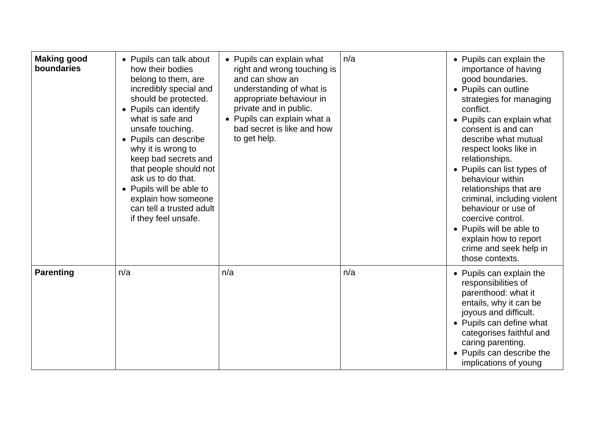| <b>Making good</b><br>boundaries | • Pupils can talk about<br>how their bodies<br>belong to them, are<br>incredibly special and<br>should be protected.<br>• Pupils can identify<br>what is safe and                                                                              | • Pupils can explain what<br>right and wrong touching is<br>and can show an<br>understanding of what is<br>appropriate behaviour in<br>private and in public.<br>• Pupils can explain what a | n/a | • Pupils can explain the<br>importance of having<br>good boundaries.<br>• Pupils can outline<br>strategies for managing<br>conflict.<br>• Pupils can explain what                                                                                                                                                                              |
|----------------------------------|------------------------------------------------------------------------------------------------------------------------------------------------------------------------------------------------------------------------------------------------|----------------------------------------------------------------------------------------------------------------------------------------------------------------------------------------------|-----|------------------------------------------------------------------------------------------------------------------------------------------------------------------------------------------------------------------------------------------------------------------------------------------------------------------------------------------------|
|                                  | unsafe touching.<br>• Pupils can describe<br>why it is wrong to<br>keep bad secrets and<br>that people should not<br>ask us to do that.<br>• Pupils will be able to<br>explain how someone<br>can tell a trusted adult<br>if they feel unsafe. | bad secret is like and how<br>to get help.                                                                                                                                                   |     | consent is and can<br>describe what mutual<br>respect looks like in<br>relationships.<br>• Pupils can list types of<br>behaviour within<br>relationships that are<br>criminal, including violent<br>behaviour or use of<br>coercive control.<br>• Pupils will be able to<br>explain how to report<br>crime and seek help in<br>those contexts. |
| <b>Parenting</b>                 | n/a                                                                                                                                                                                                                                            | n/a                                                                                                                                                                                          | n/a | • Pupils can explain the<br>responsibilities of<br>parenthood: what it<br>entails, why it can be<br>joyous and difficult.<br>• Pupils can define what<br>categorises faithful and<br>caring parenting.<br>• Pupils can describe the<br>implications of young                                                                                   |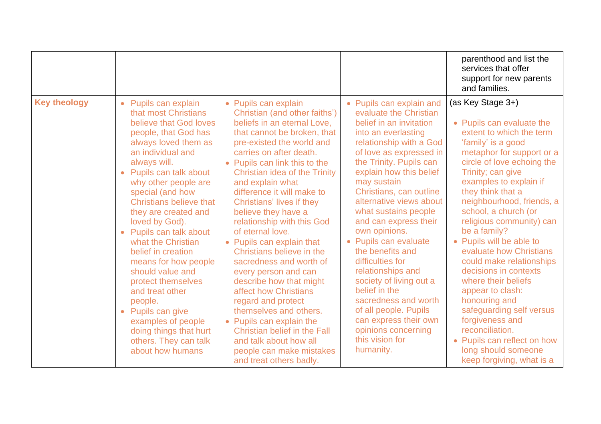|                     |                                                                                                                                                                                                                                                                                                                                                                                                                                                                                                                                                                                                                           |                                                                                                                                                                                                                                                                                                                                                                                                                                                                                                                                                                                                                                                                                                                                                                                   |                                                                                                                                                                                                                                                                                                                                                                                                                                                                                                                                                                                                                            | parenthood and list the<br>services that offer<br>support for new parents<br>and families.                                                                                                                                                                                                                                                                                                                                                                                                                                                                                                                                                                    |
|---------------------|---------------------------------------------------------------------------------------------------------------------------------------------------------------------------------------------------------------------------------------------------------------------------------------------------------------------------------------------------------------------------------------------------------------------------------------------------------------------------------------------------------------------------------------------------------------------------------------------------------------------------|-----------------------------------------------------------------------------------------------------------------------------------------------------------------------------------------------------------------------------------------------------------------------------------------------------------------------------------------------------------------------------------------------------------------------------------------------------------------------------------------------------------------------------------------------------------------------------------------------------------------------------------------------------------------------------------------------------------------------------------------------------------------------------------|----------------------------------------------------------------------------------------------------------------------------------------------------------------------------------------------------------------------------------------------------------------------------------------------------------------------------------------------------------------------------------------------------------------------------------------------------------------------------------------------------------------------------------------------------------------------------------------------------------------------------|---------------------------------------------------------------------------------------------------------------------------------------------------------------------------------------------------------------------------------------------------------------------------------------------------------------------------------------------------------------------------------------------------------------------------------------------------------------------------------------------------------------------------------------------------------------------------------------------------------------------------------------------------------------|
| <b>Key theology</b> | Pupils can explain<br>$\bullet$<br>that most Christians<br>believe that God loves<br>people, that God has<br>always loved them as<br>an individual and<br>always will.<br>Pupils can talk about<br>why other people are<br>special (and how<br><b>Christians believe that</b><br>they are created and<br>loved by God).<br>Pupils can talk about<br>what the Christian<br>belief in creation<br>means for how people<br>should value and<br>protect themselves<br>and treat other<br>people.<br>Pupils can give<br>$\bullet$<br>examples of people<br>doing things that hurt<br>others. They can talk<br>about how humans | • Pupils can explain<br>Christian (and other faiths')<br>beliefs in an eternal Love,<br>that cannot be broken, that<br>pre-existed the world and<br>carries on after death.<br>• Pupils can link this to the<br>Christian idea of the Trinity<br>and explain what<br>difference it will make to<br><b>Christians' lives if they</b><br>believe they have a<br>relationship with this God<br>of eternal love.<br>• Pupils can explain that<br>Christians believe in the<br>sacredness and worth of<br>every person and can<br>describe how that might<br>affect how Christians<br>regard and protect<br>themselves and others.<br>• Pupils can explain the<br><b>Christian belief in the Fall</b><br>and talk about how all<br>people can make mistakes<br>and treat others badly. | • Pupils can explain and<br>evaluate the Christian<br>belief in an invitation<br>into an everlasting<br>relationship with a God<br>of love as expressed in<br>the Trinity. Pupils can<br>explain how this belief<br>may sustain<br>Christians, can outline<br>alternative views about<br>what sustains people<br>and can express their<br>own opinions.<br>• Pupils can evaluate<br>the benefits and<br>difficulties for<br>relationships and<br>society of living out a<br>belief in the<br>sacredness and worth<br>of all people. Pupils<br>can express their own<br>opinions concerning<br>this vision for<br>humanity. | (as Key Stage 3+)<br>• Pupils can evaluate the<br>extent to which the term<br>'family' is a good<br>metaphor for support or a<br>circle of love echoing the<br>Trinity; can give<br>examples to explain if<br>they think that a<br>neighbourhood, friends, a<br>school, a church (or<br>religious community) can<br>be a family?<br>• Pupils will be able to<br>evaluate how Christians<br>could make relationships<br>decisions in contexts<br>where their beliefs<br>appear to clash:<br>honouring and<br>safeguarding self versus<br>forgiveness and<br>reconciliation.<br>• Pupils can reflect on how<br>long should someone<br>keep forgiving, what is a |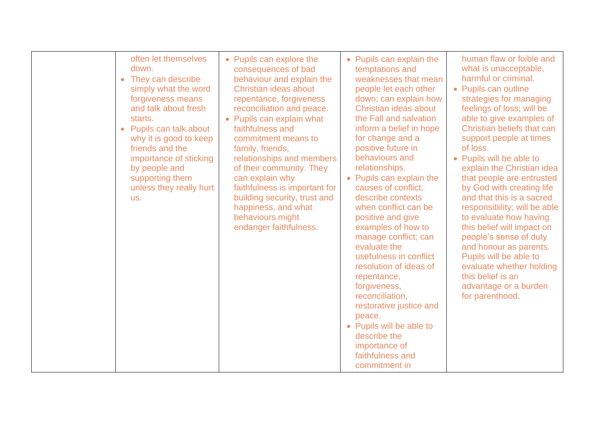| often let themselves<br>down.<br>They can describe<br>simply what the word<br>forgiveness means<br>and talk about fresh<br>starts.<br>Pupils can talk about<br>$\bullet$<br>why it is good to keep<br>friends and the<br>importance of sticking<br>by people and<br>supporting them<br>unless they really hurt<br>us. | • Pupils can explore the<br>consequences of bad<br>behaviour and explain the<br>Christian ideas about<br>repentance, forgiveness<br>reconciliation and peace.<br>• Pupils can explain what<br>faithfulness and<br>commitment means to<br>family, friends,<br>relationships and members<br>of their community. They<br>can explain why<br>faithfulness is important for<br>building security, trust and<br>happiness, and what<br>behaviours might<br>endanger faithfulness. | • Pupils can explain the<br>temptations and<br>weaknesses that mean<br>people let each other<br>down; can explain how<br>Christian ideas about<br>the Fall and salvation<br>inform a belief in hope<br>for change and a<br>positive future in<br>behaviours and<br>relationships.<br>• Pupils can explain the<br>causes of conflict,<br>describe contexts<br>when conflict can be<br>positive and give<br>examples of how to<br>manage conflict; can<br>evaluate the<br>usefulness in conflict<br>resolution of ideas of<br>repentance,<br>forgiveness,<br>reconciliation,<br>restorative justice and<br>peace.<br>• Pupils will be able to<br>describe the<br>importance of<br>faithfulness and<br>commitment in | human flaw or foible and<br>what is unacceptable,<br>harmful or criminal.<br>• Pupils can outline<br>strategies for managing<br>feelings of loss; will be<br>able to give examples of<br>Christian beliefs that can<br>support people at times<br>of loss.<br>• Pupils will be able to<br>explain the Christian idea<br>that people are entrusted<br>by God with creating life<br>and that this is a sacred<br>responsibility; will be able<br>to evaluate how having<br>this belief will impact on<br>people's sense of duty<br>and honour as parents.<br>Pupils will be able to<br>evaluate whether holding<br>this belief is an<br>advantage or a burden<br>for parenthood. |
|-----------------------------------------------------------------------------------------------------------------------------------------------------------------------------------------------------------------------------------------------------------------------------------------------------------------------|-----------------------------------------------------------------------------------------------------------------------------------------------------------------------------------------------------------------------------------------------------------------------------------------------------------------------------------------------------------------------------------------------------------------------------------------------------------------------------|-------------------------------------------------------------------------------------------------------------------------------------------------------------------------------------------------------------------------------------------------------------------------------------------------------------------------------------------------------------------------------------------------------------------------------------------------------------------------------------------------------------------------------------------------------------------------------------------------------------------------------------------------------------------------------------------------------------------|--------------------------------------------------------------------------------------------------------------------------------------------------------------------------------------------------------------------------------------------------------------------------------------------------------------------------------------------------------------------------------------------------------------------------------------------------------------------------------------------------------------------------------------------------------------------------------------------------------------------------------------------------------------------------------|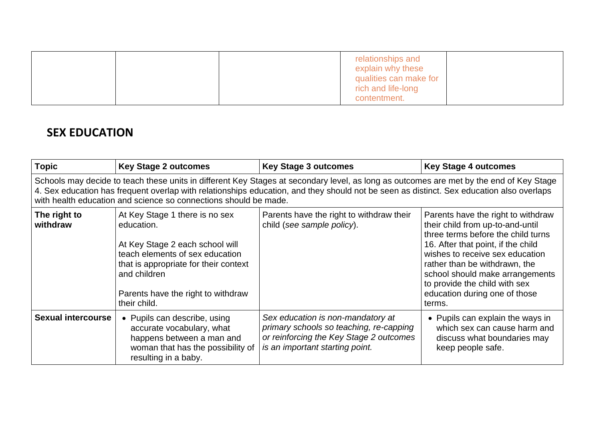|  | relationships and<br>explain why these<br>qualities can make for<br>rich and life-long |  |
|--|----------------------------------------------------------------------------------------|--|
|  | contentment.                                                                           |  |

## **SEX EDUCATION**

| <b>Topic</b>              | <b>Key Stage 2 outcomes</b>                                                                                                                                                                                                                                                                                                                             | <b>Key Stage 3 outcomes</b>                                                                                                                                | <b>Key Stage 4 outcomes</b>                                                                                                                                                                                                                                                                                                           |  |  |  |  |
|---------------------------|---------------------------------------------------------------------------------------------------------------------------------------------------------------------------------------------------------------------------------------------------------------------------------------------------------------------------------------------------------|------------------------------------------------------------------------------------------------------------------------------------------------------------|---------------------------------------------------------------------------------------------------------------------------------------------------------------------------------------------------------------------------------------------------------------------------------------------------------------------------------------|--|--|--|--|
|                           | Schools may decide to teach these units in different Key Stages at secondary level, as long as outcomes are met by the end of Key Stage<br>4. Sex education has frequent overlap with relationships education, and they should not be seen as distinct. Sex education also overlaps<br>with health education and science so connections should be made. |                                                                                                                                                            |                                                                                                                                                                                                                                                                                                                                       |  |  |  |  |
| The right to<br>withdraw  | At Key Stage 1 there is no sex<br>education.<br>At Key Stage 2 each school will<br>teach elements of sex education<br>that is appropriate for their context<br>and children<br>Parents have the right to withdraw<br>their child.                                                                                                                       | Parents have the right to withdraw their<br>child (see sample policy).                                                                                     | Parents have the right to withdraw<br>their child from up-to-and-until<br>three terms before the child turns<br>16. After that point, if the child<br>wishes to receive sex education<br>rather than be withdrawn, the<br>school should make arrangements<br>to provide the child with sex<br>education during one of those<br>terms. |  |  |  |  |
| <b>Sexual intercourse</b> | • Pupils can describe, using<br>accurate vocabulary, what<br>happens between a man and<br>woman that has the possibility of<br>resulting in a baby.                                                                                                                                                                                                     | Sex education is non-mandatory at<br>primary schools so teaching, re-capping<br>or reinforcing the Key Stage 2 outcomes<br>is an important starting point. | • Pupils can explain the ways in<br>which sex can cause harm and<br>discuss what boundaries may<br>keep people safe.                                                                                                                                                                                                                  |  |  |  |  |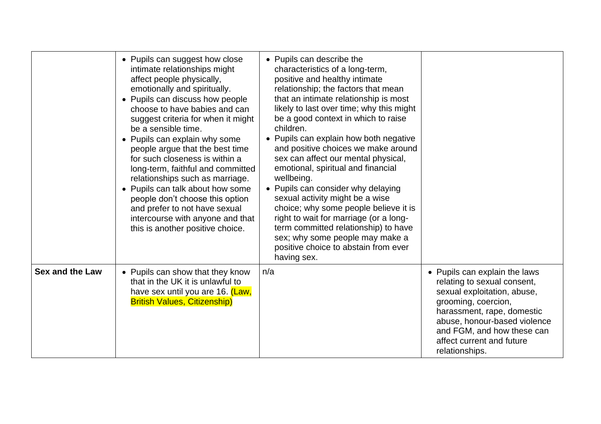|                        | • Pupils can suggest how close<br>intimate relationships might<br>affect people physically,<br>emotionally and spiritually.<br>• Pupils can discuss how people<br>choose to have babies and can<br>suggest criteria for when it might<br>be a sensible time.<br>• Pupils can explain why some<br>people argue that the best time<br>for such closeness is within a<br>long-term, faithful and committed<br>relationships such as marriage.<br>• Pupils can talk about how some<br>people don't choose this option<br>and prefer to not have sexual<br>intercourse with anyone and that<br>this is another positive choice. | • Pupils can describe the<br>characteristics of a long-term,<br>positive and healthy intimate<br>relationship; the factors that mean<br>that an intimate relationship is most<br>likely to last over time; why this might<br>be a good context in which to raise<br>children.<br>• Pupils can explain how both negative<br>and positive choices we make around<br>sex can affect our mental physical,<br>emotional, spiritual and financial<br>wellbeing.<br>• Pupils can consider why delaying<br>sexual activity might be a wise<br>choice; why some people believe it is<br>right to wait for marriage (or a long-<br>term committed relationship) to have<br>sex; why some people may make a<br>positive choice to abstain from ever<br>having sex. |                                                                                                                                                                                                                                                               |
|------------------------|----------------------------------------------------------------------------------------------------------------------------------------------------------------------------------------------------------------------------------------------------------------------------------------------------------------------------------------------------------------------------------------------------------------------------------------------------------------------------------------------------------------------------------------------------------------------------------------------------------------------------|---------------------------------------------------------------------------------------------------------------------------------------------------------------------------------------------------------------------------------------------------------------------------------------------------------------------------------------------------------------------------------------------------------------------------------------------------------------------------------------------------------------------------------------------------------------------------------------------------------------------------------------------------------------------------------------------------------------------------------------------------------|---------------------------------------------------------------------------------------------------------------------------------------------------------------------------------------------------------------------------------------------------------------|
| <b>Sex and the Law</b> | • Pupils can show that they know<br>that in the UK it is unlawful to<br>have sex until you are 16. (Law,<br><b>British Values, Citizenship)</b>                                                                                                                                                                                                                                                                                                                                                                                                                                                                            | n/a                                                                                                                                                                                                                                                                                                                                                                                                                                                                                                                                                                                                                                                                                                                                                     | • Pupils can explain the laws<br>relating to sexual consent,<br>sexual exploitation, abuse,<br>grooming, coercion,<br>harassment, rape, domestic<br>abuse, honour-based violence<br>and FGM, and how these can<br>affect current and future<br>relationships. |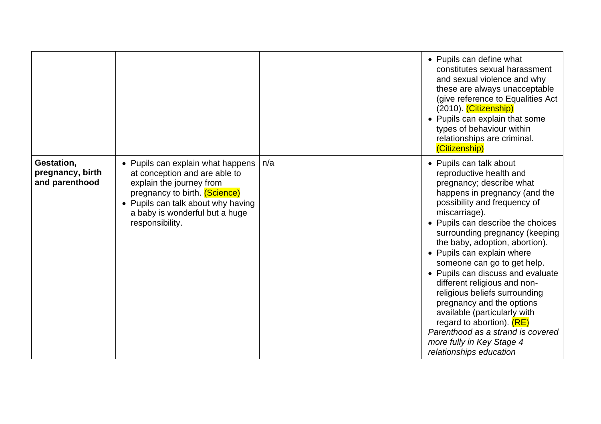|                                                  |                                                                                                                                                                                                                            |     | • Pupils can define what<br>constitutes sexual harassment<br>and sexual violence and why<br>these are always unacceptable<br>(give reference to Equalities Act<br>(2010). (Citizenship)<br>• Pupils can explain that some<br>types of behaviour within<br>relationships are criminal.<br>(Citizenship)                                                                                                                                                                                                                                                                                                                                |
|--------------------------------------------------|----------------------------------------------------------------------------------------------------------------------------------------------------------------------------------------------------------------------------|-----|---------------------------------------------------------------------------------------------------------------------------------------------------------------------------------------------------------------------------------------------------------------------------------------------------------------------------------------------------------------------------------------------------------------------------------------------------------------------------------------------------------------------------------------------------------------------------------------------------------------------------------------|
| Gestation,<br>pregnancy, birth<br>and parenthood | • Pupils can explain what happens<br>at conception and are able to<br>explain the journey from<br>pregnancy to birth. (Science)<br>• Pupils can talk about why having<br>a baby is wonderful but a huge<br>responsibility. | n/a | • Pupils can talk about<br>reproductive health and<br>pregnancy; describe what<br>happens in pregnancy (and the<br>possibility and frequency of<br>miscarriage).<br>• Pupils can describe the choices<br>surrounding pregnancy (keeping<br>the baby, adoption, abortion).<br>• Pupils can explain where<br>someone can go to get help.<br>• Pupils can discuss and evaluate<br>different religious and non-<br>religious beliefs surrounding<br>pregnancy and the options<br>available (particularly with<br>regard to abortion). $(RE)$<br>Parenthood as a strand is covered<br>more fully in Key Stage 4<br>relationships education |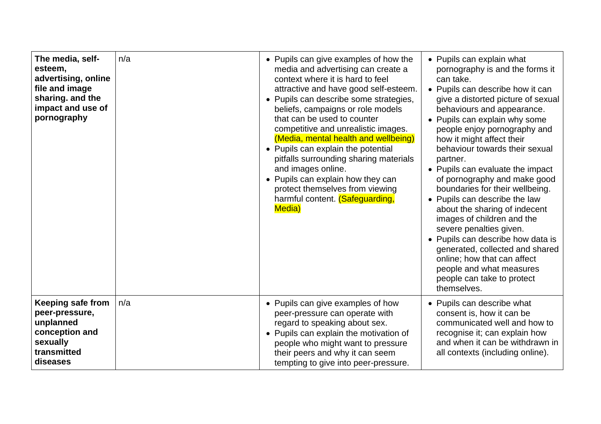| The media, self-<br>esteem,<br>advertising, online<br>file and image<br>sharing. and the<br>impact and use of<br>pornography | n/a | • Pupils can give examples of how the<br>media and advertising can create a<br>context where it is hard to feel<br>attractive and have good self-esteem.<br>• Pupils can describe some strategies,<br>beliefs, campaigns or role models<br>that can be used to counter<br>competitive and unrealistic images.<br>(Media, mental health and wellbeing)<br>Pupils can explain the potential<br>$\bullet$<br>pitfalls surrounding sharing materials<br>and images online.<br>• Pupils can explain how they can<br>protect themselves from viewing<br>harmful content. (Safeguarding,<br><b>Media</b> ) | • Pupils can explain what<br>pornography is and the forms it<br>can take.<br>• Pupils can describe how it can<br>give a distorted picture of sexual<br>behaviours and appearance.<br>• Pupils can explain why some<br>people enjoy pornography and<br>how it might affect their<br>behaviour towards their sexual<br>partner.<br>• Pupils can evaluate the impact<br>of pornography and make good<br>boundaries for their wellbeing.<br>• Pupils can describe the law<br>about the sharing of indecent<br>images of children and the<br>severe penalties given.<br>• Pupils can describe how data is<br>generated, collected and shared<br>online; how that can affect<br>people and what measures<br>people can take to protect<br>themselves. |
|------------------------------------------------------------------------------------------------------------------------------|-----|-----------------------------------------------------------------------------------------------------------------------------------------------------------------------------------------------------------------------------------------------------------------------------------------------------------------------------------------------------------------------------------------------------------------------------------------------------------------------------------------------------------------------------------------------------------------------------------------------------|-------------------------------------------------------------------------------------------------------------------------------------------------------------------------------------------------------------------------------------------------------------------------------------------------------------------------------------------------------------------------------------------------------------------------------------------------------------------------------------------------------------------------------------------------------------------------------------------------------------------------------------------------------------------------------------------------------------------------------------------------|
| <b>Keeping safe from</b><br>peer-pressure,<br>unplanned<br>conception and<br>sexually<br>transmitted<br>diseases             | n/a | • Pupils can give examples of how<br>peer-pressure can operate with<br>regard to speaking about sex.<br>• Pupils can explain the motivation of<br>people who might want to pressure<br>their peers and why it can seem<br>tempting to give into peer-pressure.                                                                                                                                                                                                                                                                                                                                      | • Pupils can describe what<br>consent is, how it can be<br>communicated well and how to<br>recognise it; can explain how<br>and when it can be withdrawn in<br>all contexts (including online).                                                                                                                                                                                                                                                                                                                                                                                                                                                                                                                                                 |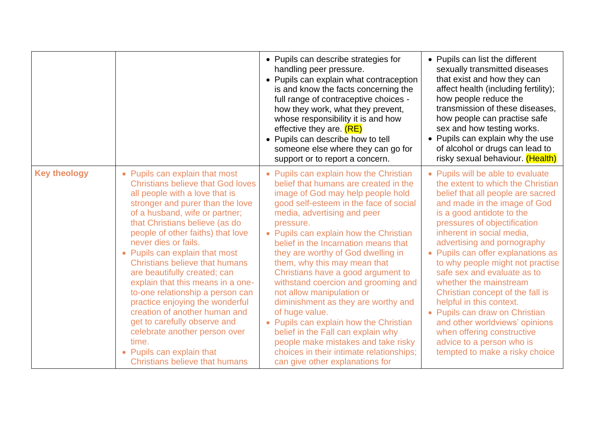|                     |                                                                                                                                                                                                                                                                                                                                                                                                                                                                                                                                                                                                                                                                                           | • Pupils can describe strategies for<br>handling peer pressure.<br>• Pupils can explain what contraception<br>is and know the facts concerning the<br>full range of contraceptive choices -<br>how they work, what they prevent,<br>whose responsibility it is and how<br>effective they are. (RE)<br>• Pupils can describe how to tell<br>someone else where they can go for<br>support or to report a concern.                                                                                                                                                                                                                                                                                                                            | • Pupils can list the different<br>sexually transmitted diseases<br>that exist and how they can<br>affect health (including fertility);<br>how people reduce the<br>transmission of these diseases,<br>how people can practise safe<br>sex and how testing works.<br>• Pupils can explain why the use<br>of alcohol or drugs can lead to<br>risky sexual behaviour. (Health)                                                                                                                                                                                                                                                             |
|---------------------|-------------------------------------------------------------------------------------------------------------------------------------------------------------------------------------------------------------------------------------------------------------------------------------------------------------------------------------------------------------------------------------------------------------------------------------------------------------------------------------------------------------------------------------------------------------------------------------------------------------------------------------------------------------------------------------------|---------------------------------------------------------------------------------------------------------------------------------------------------------------------------------------------------------------------------------------------------------------------------------------------------------------------------------------------------------------------------------------------------------------------------------------------------------------------------------------------------------------------------------------------------------------------------------------------------------------------------------------------------------------------------------------------------------------------------------------------|------------------------------------------------------------------------------------------------------------------------------------------------------------------------------------------------------------------------------------------------------------------------------------------------------------------------------------------------------------------------------------------------------------------------------------------------------------------------------------------------------------------------------------------------------------------------------------------------------------------------------------------|
| <b>Key theology</b> | • Pupils can explain that most<br><b>Christians believe that God loves</b><br>all people with a love that is<br>stronger and purer than the love<br>of a husband, wife or partner;<br>that Christians believe (as do<br>people of other faiths) that love<br>never dies or fails.<br>• Pupils can explain that most<br><b>Christians believe that humans</b><br>are beautifully created; can<br>explain that this means in a one-<br>to-one relationship a person can<br>practice enjoying the wonderful<br>creation of another human and<br>get to carefully observe and<br>celebrate another person over<br>time.<br>• Pupils can explain that<br><b>Christians believe that humans</b> | • Pupils can explain how the Christian<br>belief that humans are created in the<br>image of God may help people hold<br>good self-esteem in the face of social<br>media, advertising and peer<br>pressure.<br>• Pupils can explain how the Christian<br>belief in the Incarnation means that<br>they are worthy of God dwelling in<br>them, why this may mean that<br>Christians have a good argument to<br>withstand coercion and grooming and<br>not allow manipulation or<br>diminishment as they are worthy and<br>of huge value.<br>• Pupils can explain how the Christian<br>belief in the Fall can explain why<br>people make mistakes and take risky<br>choices in their intimate relationships;<br>can give other explanations for | • Pupils will be able to evaluate<br>the extent to which the Christian<br>belief that all people are sacred<br>and made in the image of God<br>is a good antidote to the<br>pressures of objectification<br>inherent in social media,<br>advertising and pornography<br>• Pupils can offer explanations as<br>to why people might not practise<br>safe sex and evaluate as to<br>whether the mainstream<br>Christian concept of the fall is<br>helpful in this context.<br>• Pupils can draw on Christian<br>and other worldviews' opinions<br>when offering constructive<br>advice to a person who is<br>tempted to make a risky choice |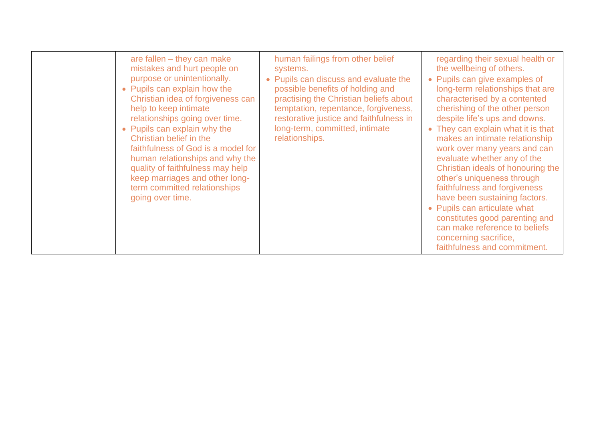| are fallen $-$ they can make<br>mistakes and hurt people on<br>purpose or unintentionally.<br>• Pupils can explain how the<br>Christian idea of forgiveness can<br>help to keep intimate<br>relationships going over time.<br>• Pupils can explain why the<br>Christian belief in the<br>faithfulness of God is a model for<br>human relationships and why the<br>quality of faithfulness may help<br>keep marriages and other long-<br>term committed relationships<br>going over time. | human failings from other belief<br>systems.<br>• Pupils can discuss and evaluate the<br>possible benefits of holding and<br>practising the Christian beliefs about<br>temptation, repentance, forgiveness,<br>restorative justice and faithfulness in<br>long-term, committed, intimate<br>relationships. | regarding their sexual health or<br>the wellbeing of others.<br>• Pupils can give examples of<br>long-term relationships that are<br>characterised by a contented<br>cherishing of the other person<br>despite life's ups and downs.<br>• They can explain what it is that<br>makes an intimate relationship<br>work over many years and can<br>evaluate whether any of the<br>Christian ideals of honouring the<br>other's uniqueness through<br>faithfulness and forgiveness<br>have been sustaining factors.<br>• Pupils can articulate what<br>constitutes good parenting and<br>can make reference to beliefs<br>concerning sacrifice,<br>faithfulness and commitment. |
|------------------------------------------------------------------------------------------------------------------------------------------------------------------------------------------------------------------------------------------------------------------------------------------------------------------------------------------------------------------------------------------------------------------------------------------------------------------------------------------|------------------------------------------------------------------------------------------------------------------------------------------------------------------------------------------------------------------------------------------------------------------------------------------------------------|-----------------------------------------------------------------------------------------------------------------------------------------------------------------------------------------------------------------------------------------------------------------------------------------------------------------------------------------------------------------------------------------------------------------------------------------------------------------------------------------------------------------------------------------------------------------------------------------------------------------------------------------------------------------------------|
|------------------------------------------------------------------------------------------------------------------------------------------------------------------------------------------------------------------------------------------------------------------------------------------------------------------------------------------------------------------------------------------------------------------------------------------------------------------------------------------|------------------------------------------------------------------------------------------------------------------------------------------------------------------------------------------------------------------------------------------------------------------------------------------------------------|-----------------------------------------------------------------------------------------------------------------------------------------------------------------------------------------------------------------------------------------------------------------------------------------------------------------------------------------------------------------------------------------------------------------------------------------------------------------------------------------------------------------------------------------------------------------------------------------------------------------------------------------------------------------------------|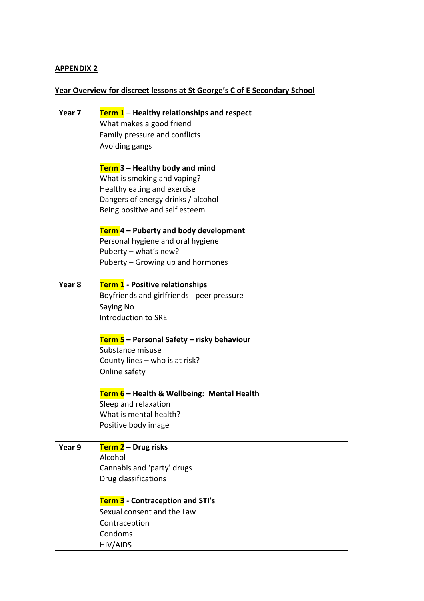### **APPENDIX 2**

### **Year Overview for discreet lessons at St George's C of E Secondary School**

| Year 7 | <b>Term 1</b> – Healthy relationships and respect |
|--------|---------------------------------------------------|
|        | What makes a good friend                          |
|        | Family pressure and conflicts                     |
|        | Avoiding gangs                                    |
|        |                                                   |
|        | Term 3 - Healthy body and mind                    |
|        | What is smoking and vaping?                       |
|        | Healthy eating and exercise                       |
|        | Dangers of energy drinks / alcohol                |
|        | Being positive and self esteem                    |
|        | Term 4 – Puberty and body development             |
|        | Personal hygiene and oral hygiene                 |
|        | Puberty - what's new?                             |
|        | Puberty - Growing up and hormones                 |
|        |                                                   |
| Year 8 | Term 1 - Positive relationships                   |
|        | Boyfriends and girlfriends - peer pressure        |
|        | Saying No                                         |
|        | Introduction to SRE                               |
|        | Term 5 – Personal Safety – risky behaviour        |
|        | Substance misuse                                  |
|        | County lines - who is at risk?                    |
|        | Online safety                                     |
|        |                                                   |
|        | Term 6 - Health & Wellbeing: Mental Health        |
|        | Sleep and relaxation                              |
|        | What is mental health?                            |
|        | Positive body image                               |
| Year 9 | Term 2 - Drug risks                               |
|        | Alcohol                                           |
|        | Cannabis and 'party' drugs                        |
|        | Drug classifications                              |
|        |                                                   |
|        | Term 3 - Contraception and STI's                  |
|        | Sexual consent and the Law                        |
|        | Contraception                                     |
|        | Condoms                                           |
|        | HIV/AIDS                                          |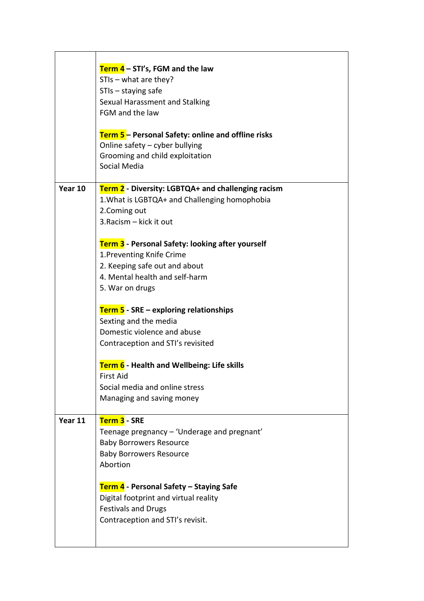|         | <b>Term 4</b> – STI's, FGM and the law<br>STIs - what are they?<br>$STIs - staying safe$<br>Sexual Harassment and Stalking<br>FGM and the law<br>Term 5 - Personal Safety: online and offline risks<br>Online safety - cyber bullying<br>Grooming and child exploitation                                          |
|---------|-------------------------------------------------------------------------------------------------------------------------------------------------------------------------------------------------------------------------------------------------------------------------------------------------------------------|
| Year 10 | Social Media<br>Term 2 - Diversity: LGBTQA+ and challenging racism<br>1. What is LGBTQA+ and Challenging homophobia<br>2.Coming out<br>3. Racism - kick it out                                                                                                                                                    |
|         | Term 3 - Personal Safety: looking after yourself<br>1. Preventing Knife Crime<br>2. Keeping safe out and about<br>4. Mental health and self-harm<br>5. War on drugs<br><b>Term 5</b> - SRE – exploring relationships<br>Sexting and the media<br>Domestic violence and abuse<br>Contraception and STI's revisited |
|         | Term 6 - Health and Wellbeing: Life skills<br><b>First Aid</b><br>Social media and online stress<br>Managing and saving money                                                                                                                                                                                     |
| Year 11 | Term 3 - SRE<br>Teenage pregnancy - 'Underage and pregnant'<br><b>Baby Borrowers Resource</b><br><b>Baby Borrowers Resource</b><br>Abortion<br>Term 4 - Personal Safety – Staying Safe                                                                                                                            |
|         | Digital footprint and virtual reality<br><b>Festivals and Drugs</b><br>Contraception and STI's revisit.                                                                                                                                                                                                           |

 $\overline{\phantom{a}}$